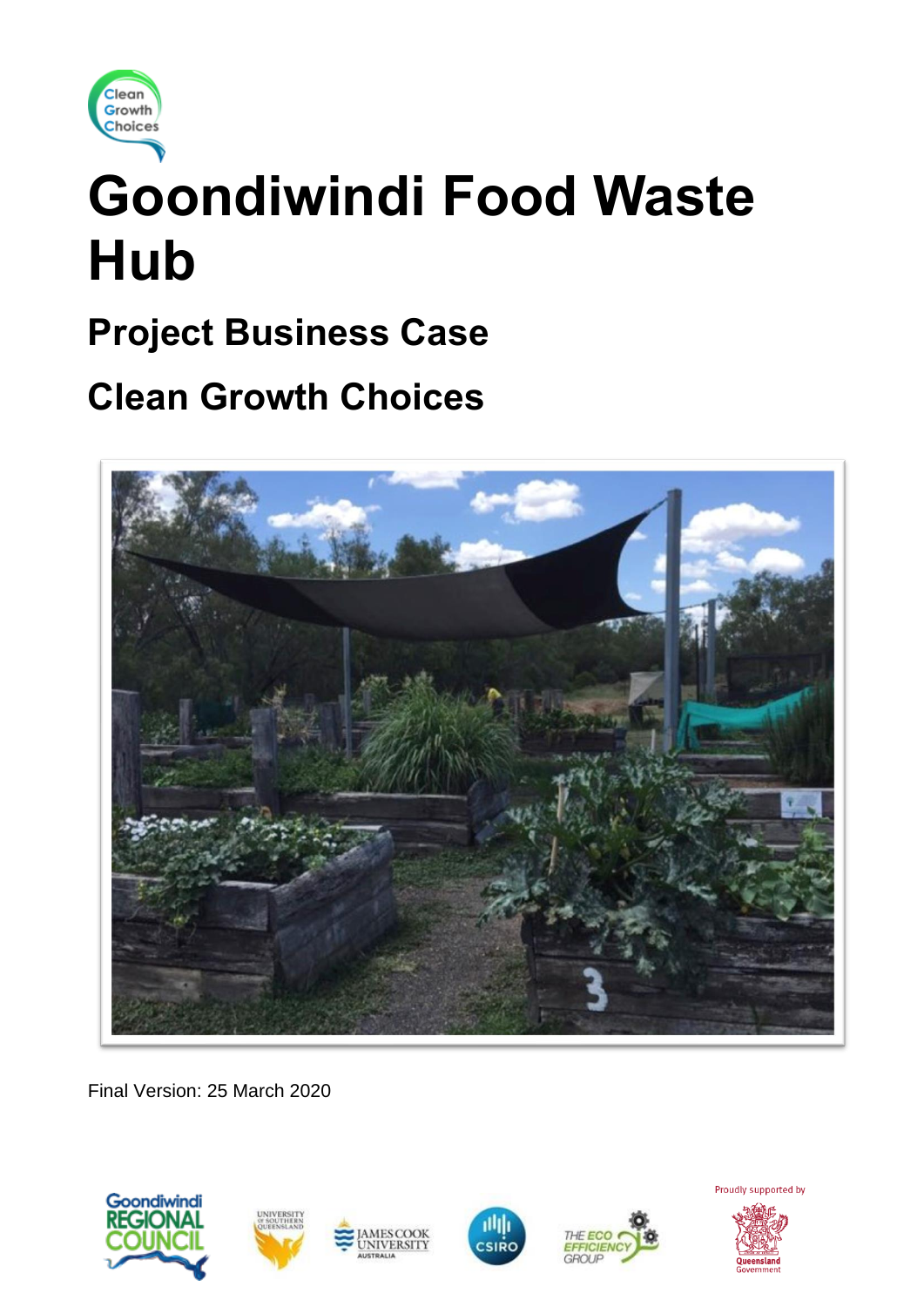

# **Goondiwindi Food Waste Hub**

# **Project Business Case**

# **Clean Growth Choices**



Final Version: 25 March 2020







**MESCOOK** 

**NIVERSITY** 



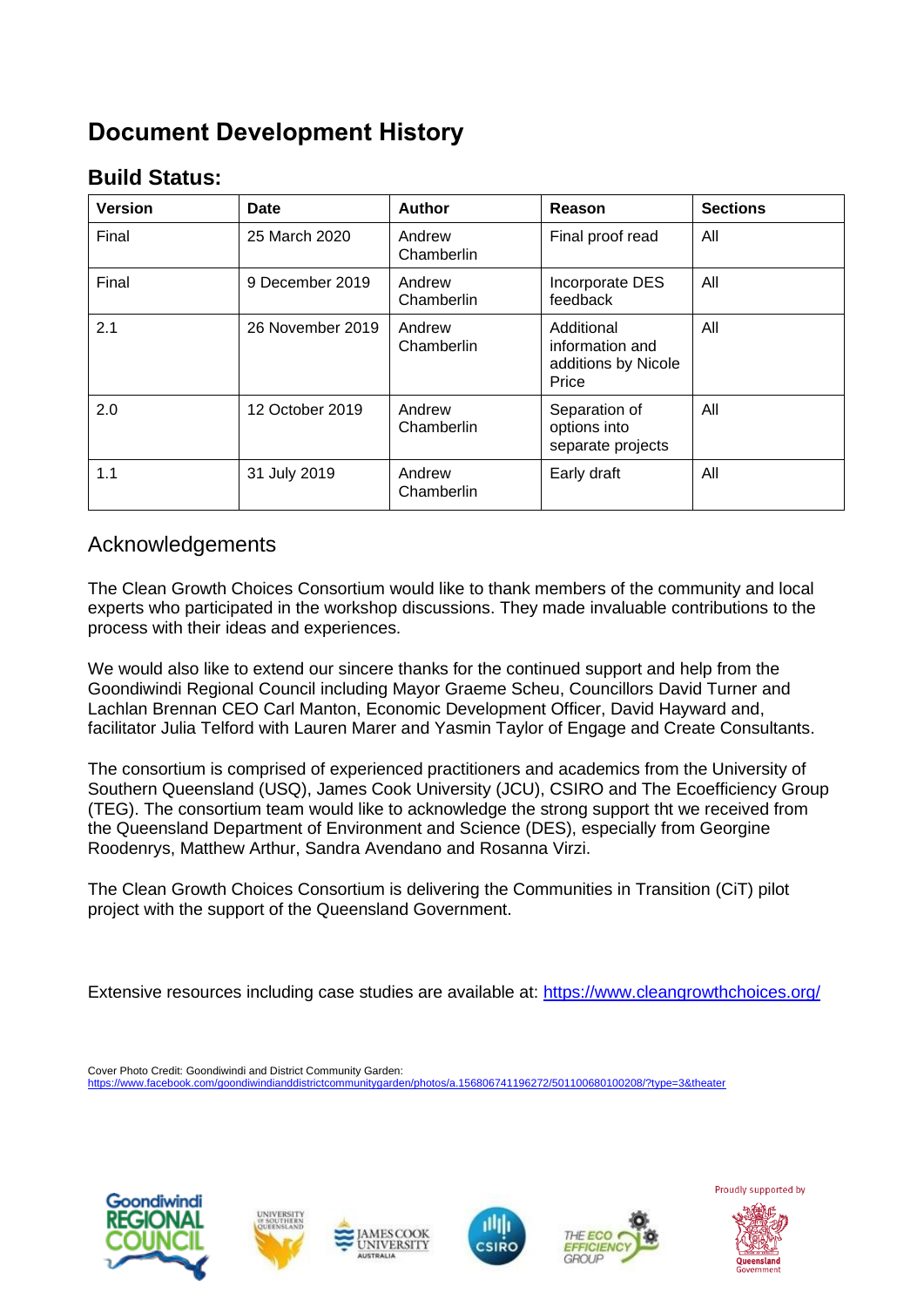# **Document Development History**

## **Build Status:**

| <b>Version</b> | Date             | <b>Author</b>        | Reason                                                        | <b>Sections</b> |
|----------------|------------------|----------------------|---------------------------------------------------------------|-----------------|
| Final          | 25 March 2020    | Andrew<br>Chamberlin | Final proof read                                              | All             |
| Final          | 9 December 2019  | Andrew<br>Chamberlin | Incorporate DES<br>feedback                                   | All             |
| 2.1            | 26 November 2019 | Andrew<br>Chamberlin | Additional<br>information and<br>additions by Nicole<br>Price | All             |
| 2.0            | 12 October 2019  | Andrew<br>Chamberlin | Separation of<br>options into<br>separate projects            | All             |
| 1.1            | 31 July 2019     | Andrew<br>Chamberlin | Early draft                                                   | All             |

## Acknowledgements

The Clean Growth Choices Consortium would like to thank members of the community and local experts who participated in the workshop discussions. They made invaluable contributions to the process with their ideas and experiences.

We would also like to extend our sincere thanks for the continued support and help from the Goondiwindi Regional Council including Mayor Graeme Scheu, Councillors David Turner and Lachlan Brennan CEO Carl Manton, Economic Development Officer, David Hayward and, facilitator Julia Telford with Lauren Marer and Yasmin Taylor of Engage and Create Consultants.

The consortium is comprised of experienced practitioners and academics from the University of Southern Queensland (USQ), James Cook University (JCU), CSIRO and The Ecoefficiency Group (TEG). The consortium team would like to acknowledge the strong support tht we received from the Queensland Department of Environment and Science (DES), especially from Georgine Roodenrys, Matthew Arthur, Sandra Avendano and Rosanna Virzi.

The Clean Growth Choices Consortium is delivering the Communities in Transition (CiT) pilot project with the support of the Queensland Government.

Extensive resources including case studies are available at:<https://www.cleangrowthchoices.org/>

Cover Photo Credit: Goondiwindi and District Community Garden: ...<br>den/photos/a.156806741196272/501100680<u>100208/?type=3&theater</u>











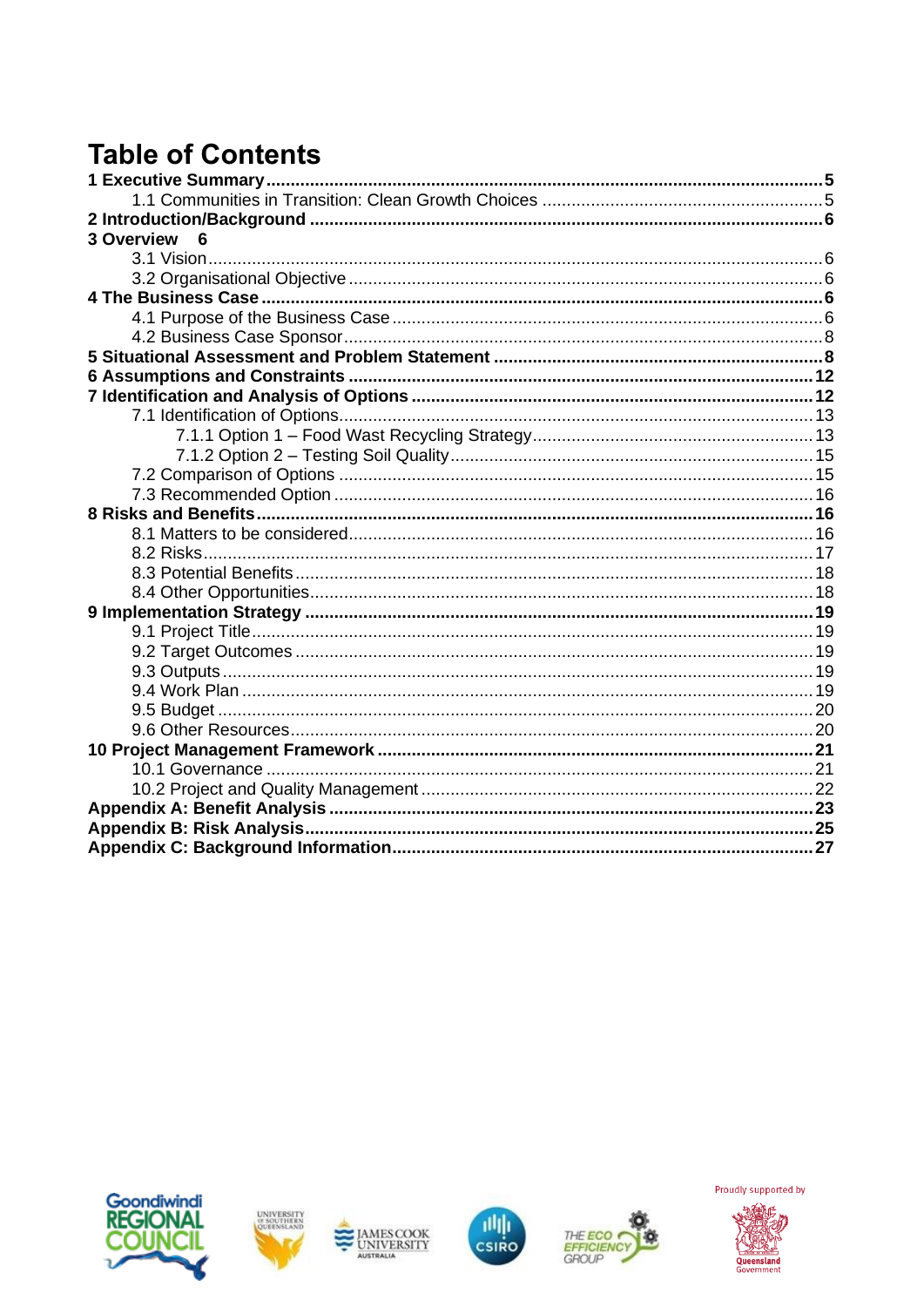# **Table of Contents**

| <b>3 Overview</b><br>6 |  |
|------------------------|--|
|                        |  |
|                        |  |
|                        |  |
|                        |  |
|                        |  |
|                        |  |
|                        |  |
|                        |  |
|                        |  |
|                        |  |
|                        |  |
|                        |  |
|                        |  |
|                        |  |
|                        |  |
|                        |  |
|                        |  |
|                        |  |
|                        |  |
|                        |  |
|                        |  |
|                        |  |
|                        |  |
|                        |  |
|                        |  |
|                        |  |
|                        |  |
|                        |  |
|                        |  |
|                        |  |
|                        |  |











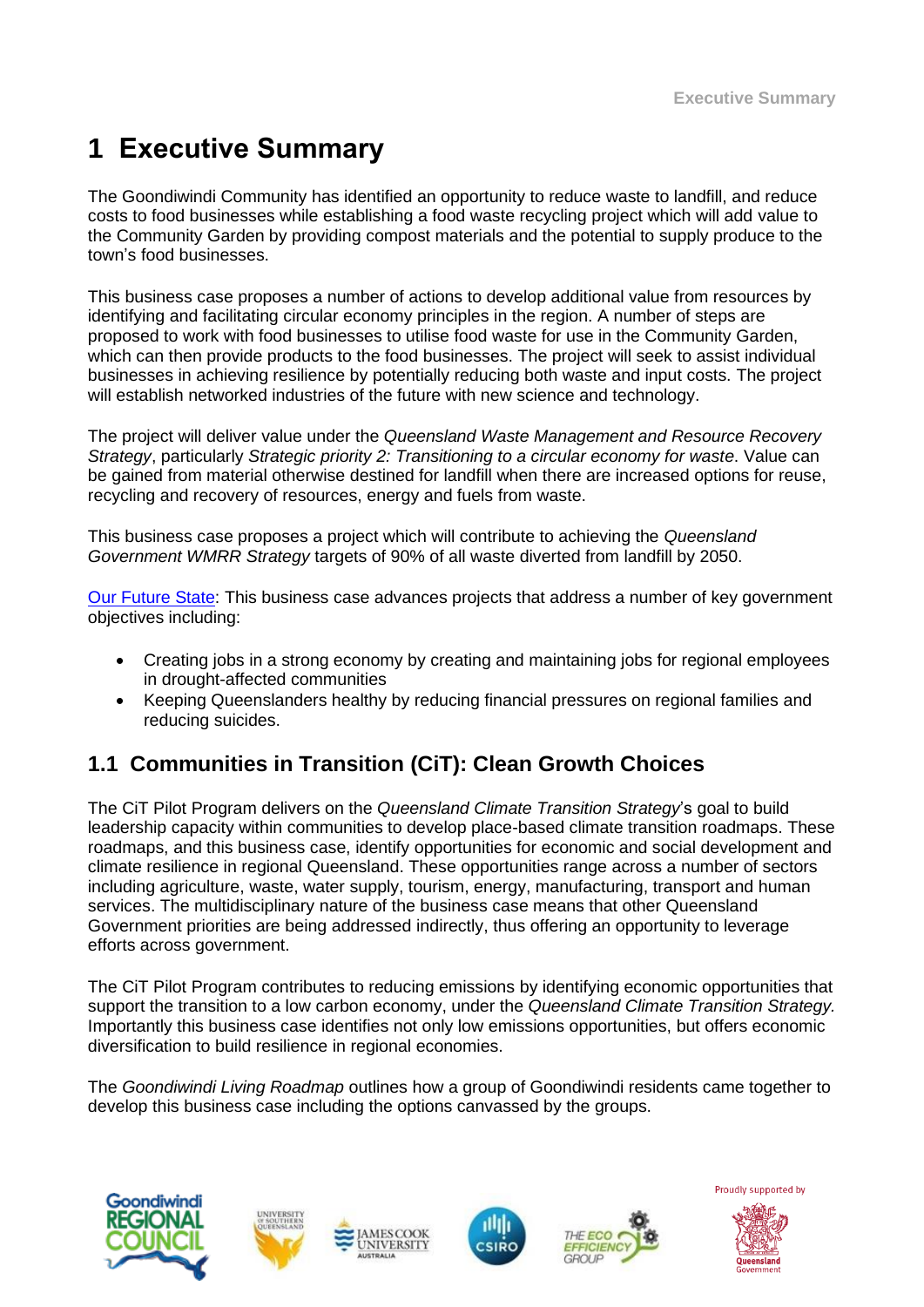# **1 Executive Summary**

The Goondiwindi Community has identified an opportunity to reduce waste to landfill, and reduce costs to food businesses while establishing a food waste recycling project which will add value to the Community Garden by providing compost materials and the potential to supply produce to the town's food businesses.

This business case proposes a number of actions to develop additional value from resources by identifying and facilitating circular economy principles in the region. A number of steps are proposed to work with food businesses to utilise food waste for use in the Community Garden, which can then provide products to the food businesses. The project will seek to assist individual businesses in achieving resilience by potentially reducing both waste and input costs. The project will establish networked industries of the future with new science and technology.

The project will deliver value under the *Queensland Waste Management and Resource Recovery Strategy*, particularly *Strategic priority 2: Transitioning to a circular economy for waste*. Value can be gained from material otherwise destined for landfill when there are increased options for reuse, recycling and recovery of resources, energy and fuels from waste.

This business case proposes a project which will contribute to achieving the *Queensland Government WMRR Strategy* targets of 90% of all waste diverted from landfill by 2050.

[Our Future State:](https://www.ourfuture.qld.gov.au/gov-objectives.aspx) This business case advances projects that address a number of key government objectives including:

- Creating jobs in a strong economy by creating and maintaining jobs for regional employees in drought-affected communities
- Keeping Queenslanders healthy by reducing financial pressures on regional families and reducing suicides.

## **1.1 Communities in Transition (CiT): Clean Growth Choices**

The CiT Pilot Program delivers on the *Queensland Climate Transition Strategy*'s goal to build leadership capacity within communities to develop place-based climate transition roadmaps. These roadmaps, and this business case, identify opportunities for economic and social development and climate resilience in regional Queensland. These opportunities range across a number of sectors including agriculture, waste, water supply, tourism, energy, manufacturing, transport and human services. The multidisciplinary nature of the business case means that other Queensland Government priorities are being addressed indirectly, thus offering an opportunity to leverage efforts across government.

The CiT Pilot Program contributes to reducing emissions by identifying economic opportunities that support the transition to a low carbon economy, under the *Queensland Climate Transition Strategy.* Importantly this business case identifies not only low emissions opportunities, but offers economic diversification to build resilience in regional economies.

The *Goondiwindi Living Roadmap* outlines how a group of Goondiwindi residents came together to develop this business case including the options canvassed by the groups.









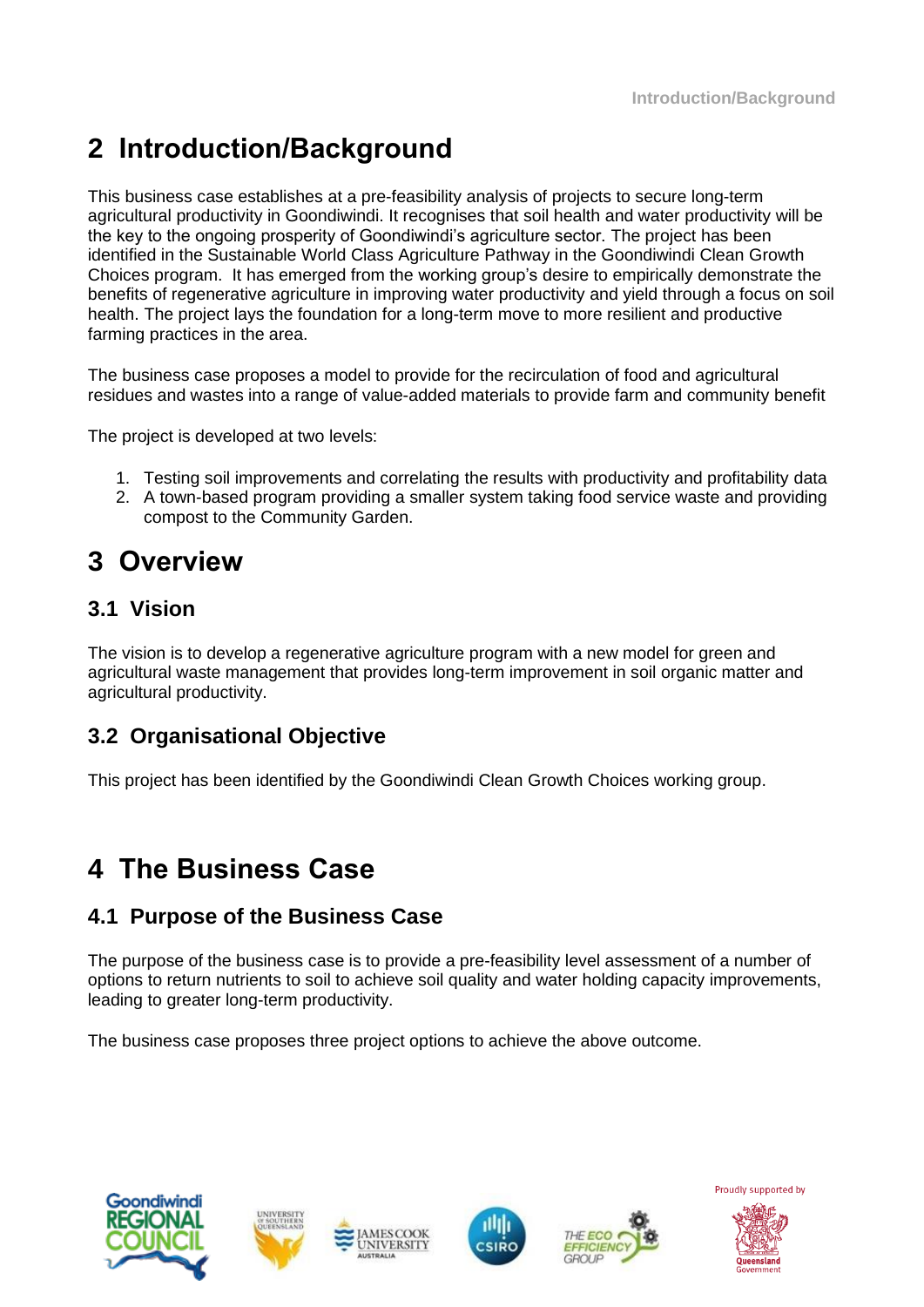# **2 Introduction/Background**

This business case establishes at a pre-feasibility analysis of projects to secure long-term agricultural productivity in Goondiwindi. It recognises that soil health and water productivity will be the key to the ongoing prosperity of Goondiwindi's agriculture sector. The project has been identified in the Sustainable World Class Agriculture Pathway in the Goondiwindi Clean Growth Choices program. It has emerged from the working group's desire to empirically demonstrate the benefits of regenerative agriculture in improving water productivity and yield through a focus on soil health. The project lays the foundation for a long-term move to more resilient and productive farming practices in the area.

The business case proposes a model to provide for the recirculation of food and agricultural residues and wastes into a range of value-added materials to provide farm and community benefit

The project is developed at two levels:

- 1. Testing soil improvements and correlating the results with productivity and profitability data
- 2. A town-based program providing a smaller system taking food service waste and providing compost to the Community Garden.

# **3 Overview**

## **3.1 Vision**

The vision is to develop a regenerative agriculture program with a new model for green and agricultural waste management that provides long-term improvement in soil organic matter and agricultural productivity.

## **3.2 Organisational Objective**

This project has been identified by the Goondiwindi Clean Growth Choices working group.

## **4 The Business Case**

## **4.1 Purpose of the Business Case**

The purpose of the business case is to provide a pre-feasibility level assessment of a number of options to return nutrients to soil to achieve soil quality and water holding capacity improvements, leading to greater long-term productivity.

The business case proposes three project options to achieve the above outcome.











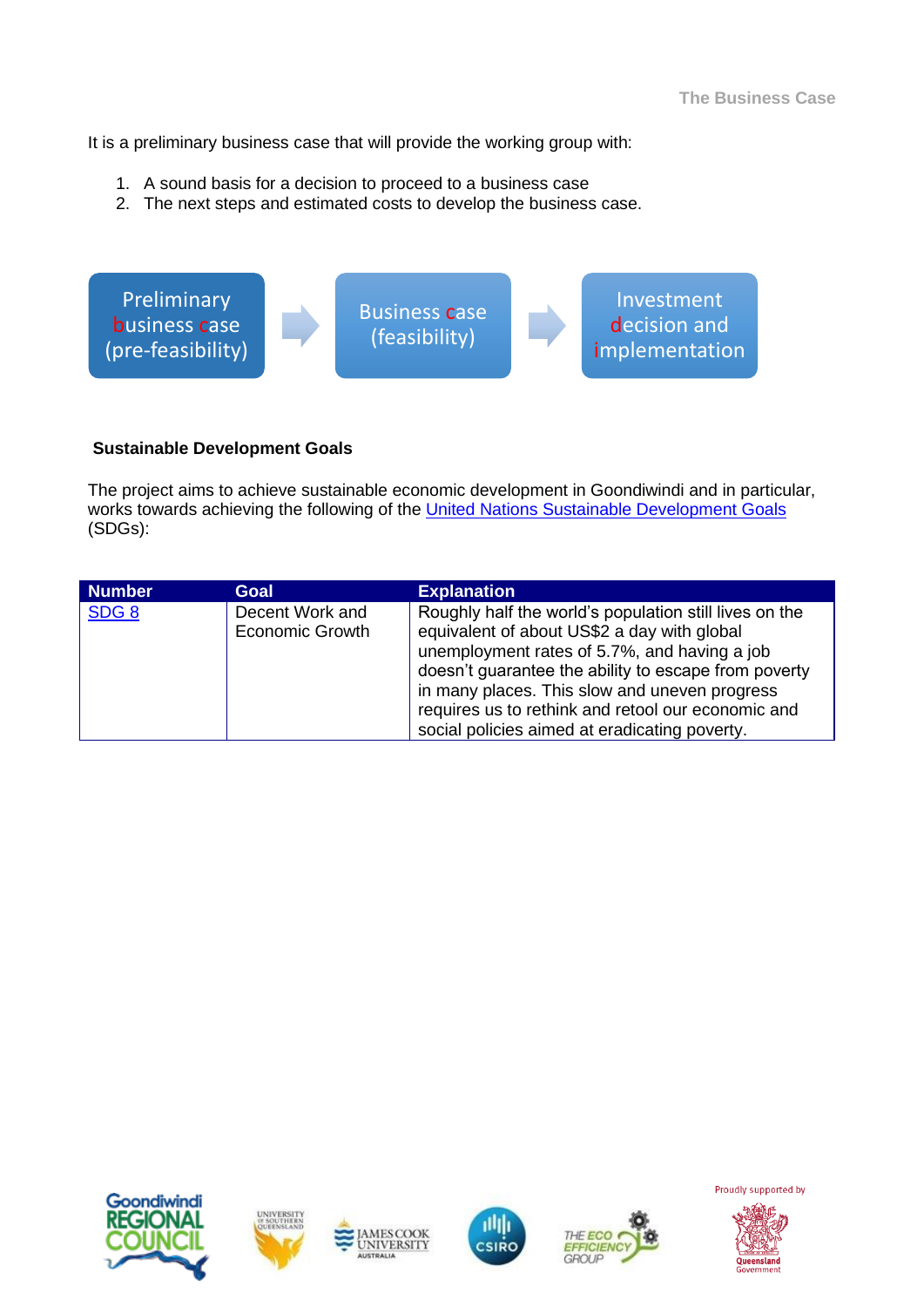It is a preliminary business case that will provide the working group with:

- 1. A sound basis for a decision to proceed to a business case
- 2. The next steps and estimated costs to develop the business case.



#### **Sustainable Development Goals**

The project aims to achieve sustainable economic development in Goondiwindi and in particular, works towards achieving the following of the [United Nations Sustainable Development Goals](https://sustainabledevelopment.un.org/) (SDGs):

| <b>Number</b>    | Goal                               | <b>Explanation</b>                                                                                                                                                                                                                                                                                                                                                    |
|------------------|------------------------------------|-----------------------------------------------------------------------------------------------------------------------------------------------------------------------------------------------------------------------------------------------------------------------------------------------------------------------------------------------------------------------|
| SDG <sub>8</sub> | Decent Work and<br>Economic Growth | Roughly half the world's population still lives on the<br>equivalent of about US\$2 a day with global<br>unemployment rates of 5.7%, and having a job<br>doesn't guarantee the ability to escape from poverty<br>in many places. This slow and uneven progress<br>requires us to rethink and retool our economic and<br>social policies aimed at eradicating poverty. |











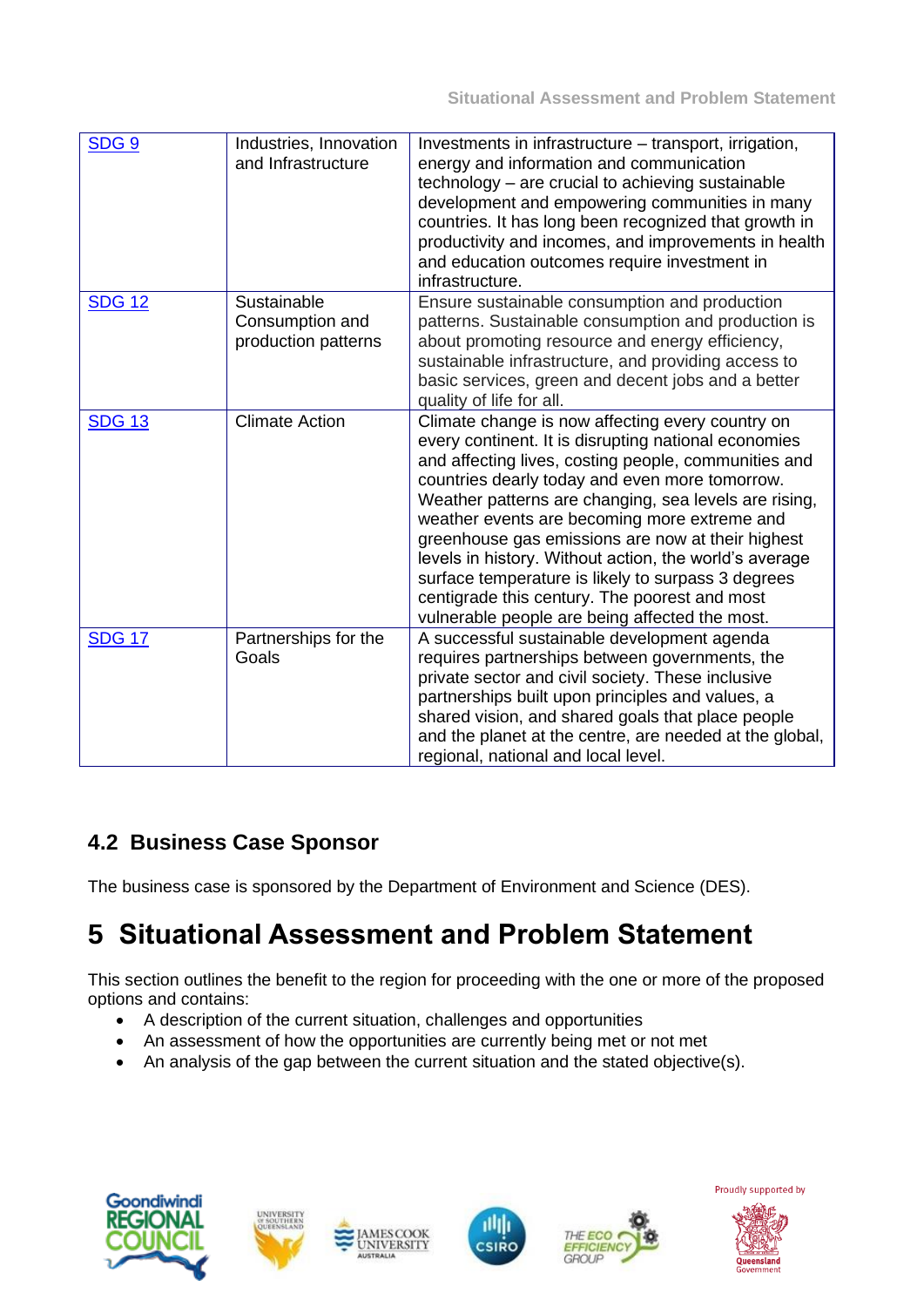| SDG <sub>9</sub> | Industries, Innovation<br>and Infrastructure          | Investments in infrastructure - transport, irrigation,<br>energy and information and communication<br>technology – are crucial to achieving sustainable<br>development and empowering communities in many<br>countries. It has long been recognized that growth in<br>productivity and incomes, and improvements in health<br>and education outcomes require investment in<br>infrastructure.                                                                                                                                                                                                       |
|------------------|-------------------------------------------------------|-----------------------------------------------------------------------------------------------------------------------------------------------------------------------------------------------------------------------------------------------------------------------------------------------------------------------------------------------------------------------------------------------------------------------------------------------------------------------------------------------------------------------------------------------------------------------------------------------------|
| <b>SDG 12</b>    | Sustainable<br>Consumption and<br>production patterns | Ensure sustainable consumption and production<br>patterns. Sustainable consumption and production is<br>about promoting resource and energy efficiency,<br>sustainable infrastructure, and providing access to<br>basic services, green and decent jobs and a better<br>quality of life for all.                                                                                                                                                                                                                                                                                                    |
| <b>SDG 13</b>    | <b>Climate Action</b>                                 | Climate change is now affecting every country on<br>every continent. It is disrupting national economies<br>and affecting lives, costing people, communities and<br>countries dearly today and even more tomorrow.<br>Weather patterns are changing, sea levels are rising,<br>weather events are becoming more extreme and<br>greenhouse gas emissions are now at their highest<br>levels in history. Without action, the world's average<br>surface temperature is likely to surpass 3 degrees<br>centigrade this century. The poorest and most<br>vulnerable people are being affected the most. |
| <b>SDG 17</b>    | Partnerships for the<br>Goals                         | A successful sustainable development agenda<br>requires partnerships between governments, the<br>private sector and civil society. These inclusive<br>partnerships built upon principles and values, a<br>shared vision, and shared goals that place people<br>and the planet at the centre, are needed at the global,<br>regional, national and local level.                                                                                                                                                                                                                                       |

## **4.2 Business Case Sponsor**

The business case is sponsored by the Department of Environment and Science (DES).

# **5 Situational Assessment and Problem Statement**

This section outlines the benefit to the region for proceeding with the one or more of the proposed options and contains:

- A description of the current situation, challenges and opportunities
- An assessment of how the opportunities are currently being met or not met
- An analysis of the gap between the current situation and the stated objective(s).









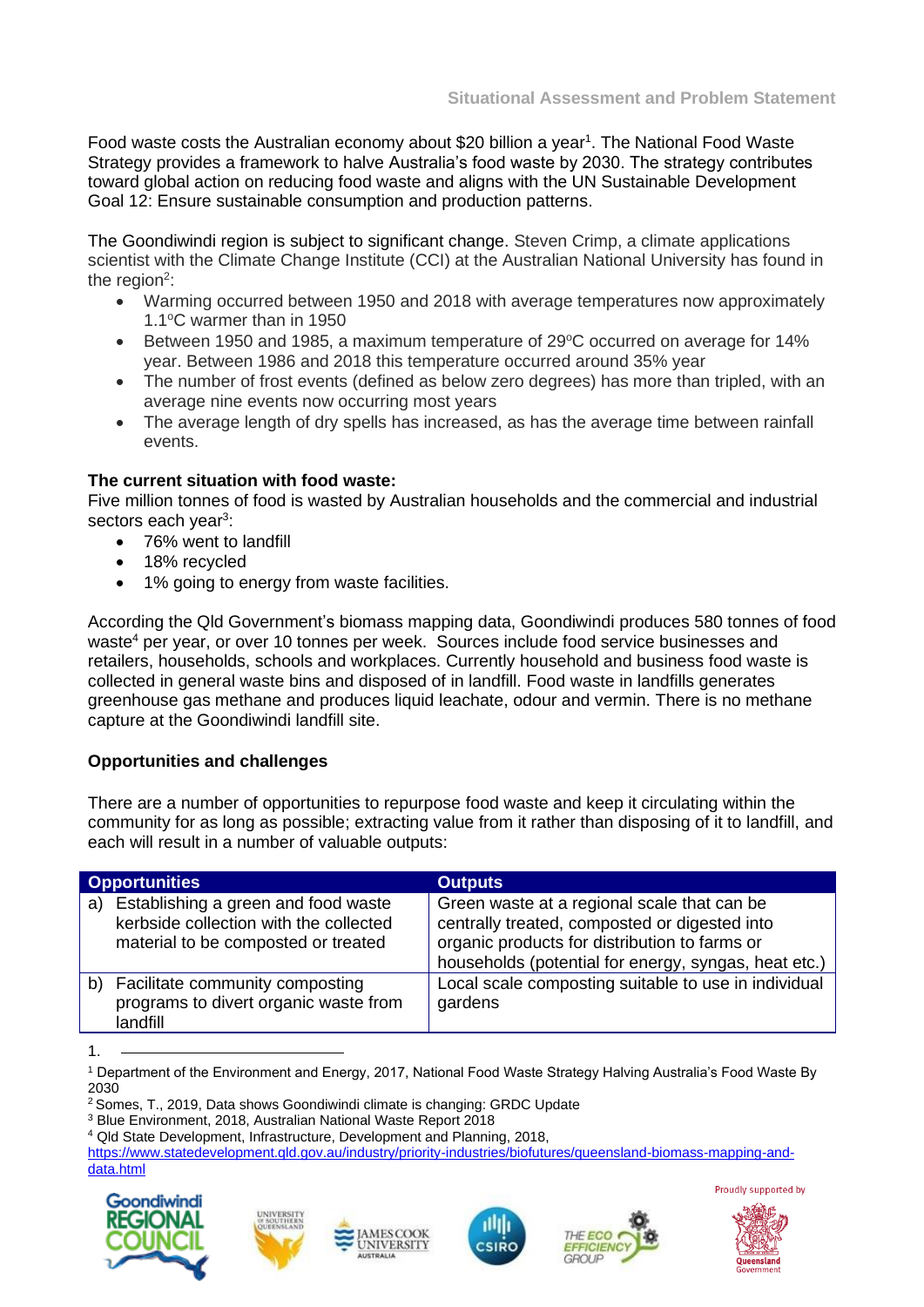Food waste costs the Australian economy about \$20 billion a year<sup>1</sup>. The National Food Waste Strategy provides a framework to halve Australia's food waste by 2030. The strategy contributes toward global action on reducing food waste and aligns with the UN Sustainable Development Goal 12: Ensure sustainable consumption and production patterns.

The Goondiwindi region is subject to significant change. Steven Crimp, a climate applications scientist with the Climate Change Institute (CCI) at the Australian National University has found in the region<sup>2</sup>:

- Warming occurred between 1950 and 2018 with average temperatures now approximately 1.1<sup>o</sup>C warmer than in 1950
- Between 1950 and 1985, a maximum temperature of  $29^{\circ}$ C occurred on average for 14% year. Between 1986 and 2018 this temperature occurred around 35% year
- The number of frost events (defined as below zero degrees) has more than tripled, with an average nine events now occurring most years
- The average length of dry spells has increased, as has the average time between rainfall events.

#### **The current situation with food waste:**

Five million tonnes of food is wasted by Australian households and the commercial and industrial sectors each year<sup>3</sup>:

- 76% went to landfill
- 18% recycled
- 1% going to energy from waste facilities.

According the Qld Government's biomass mapping data, Goondiwindi produces 580 tonnes of food waste<sup>4</sup> per year, or over 10 tonnes per week. Sources include food service businesses and retailers, households, schools and workplaces. Currently household and business food waste is collected in general waste bins and disposed of in landfill. Food waste in landfills generates greenhouse gas methane and produces liquid leachate, odour and vermin. There is no methane capture at the Goondiwindi landfill site.

#### **Opportunities and challenges**

There are a number of opportunities to repurpose food waste and keep it circulating within the community for as long as possible; extracting value from it rather than disposing of it to landfill, and each will result in a number of valuable outputs:

| <b>Opportunities</b> |                                                                                                                      | <b>Outputs</b>                                                                                                                                                                                        |  |
|----------------------|----------------------------------------------------------------------------------------------------------------------|-------------------------------------------------------------------------------------------------------------------------------------------------------------------------------------------------------|--|
| a)                   | Establishing a green and food waste<br>kerbside collection with the collected<br>material to be composted or treated | Green waste at a regional scale that can be<br>centrally treated, composted or digested into<br>organic products for distribution to farms or<br>households (potential for energy, syngas, heat etc.) |  |
| b)                   | Facilitate community composting<br>programs to divert organic waste from<br>landfill                                 | Local scale composting suitable to use in individual<br>gardens                                                                                                                                       |  |

<sup>1.</sup>

[https://www.statedevelopment.qld.gov.au/industry/priority-industries/biofutures/queensland-biomass-mapping-and](https://www.statedevelopment.qld.gov.au/industry/priority-industries/biofutures/queensland-biomass-mapping-and-data.html)[data.html](https://www.statedevelopment.qld.gov.au/industry/priority-industries/biofutures/queensland-biomass-mapping-and-data.html)Proudly supported by











<sup>1</sup> Department of the Environment and Energy, 2017, National Food Waste Strategy Halving Australia's Food Waste By 2030

<sup>2</sup> Somes, T., 2019, Data shows Goondiwindi climate is changing: GRDC Update

<sup>3</sup> Blue Environment, 2018, Australian National Waste Report 2018

<sup>4</sup> Qld State Development, Infrastructure, Development and Planning, 2018,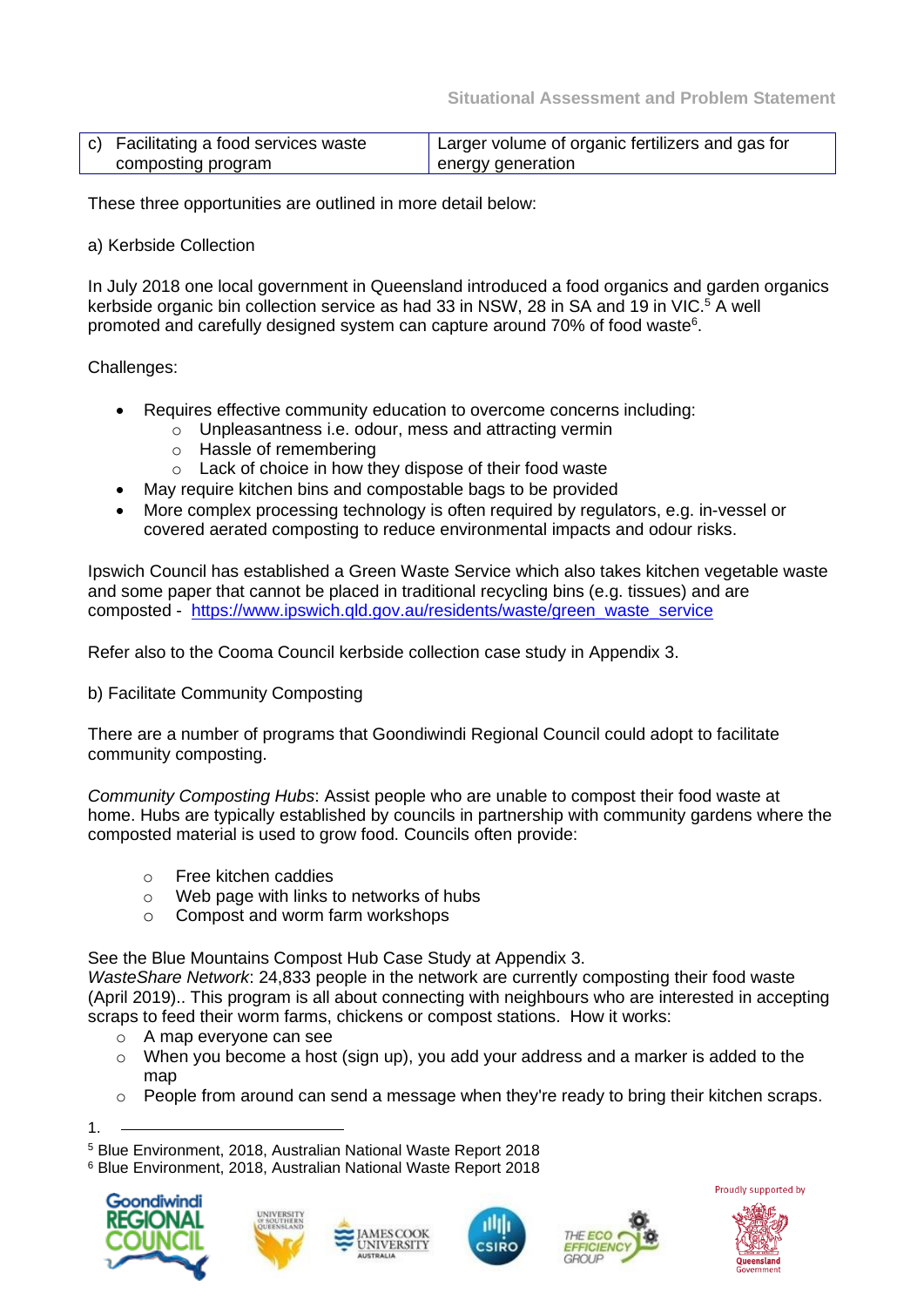| c) Facilitating a food services waste | Larger volume of organic fertilizers and gas for |
|---------------------------------------|--------------------------------------------------|
| composting program                    | energy generation                                |

These three opportunities are outlined in more detail below:

#### a) Kerbside Collection

In July 2018 one local government in Queensland introduced a food organics and garden organics kerbside organic bin collection service as had 33 in NSW, 28 in SA and 19 in VIC.<sup>5</sup> A well promoted and carefully designed system can capture around 70% of food waste<sup>6</sup>.

Challenges:

- Requires effective community education to overcome concerns including:
	- o Unpleasantness i.e. odour, mess and attracting vermin
	- o Hassle of remembering
	- o Lack of choice in how they dispose of their food waste
- May require kitchen bins and compostable bags to be provided
- More complex processing technology is often required by regulators, e.g. in-vessel or covered aerated composting to reduce environmental impacts and odour risks.

Ipswich Council has established a Green Waste Service which also takes kitchen vegetable waste and some paper that cannot be placed in traditional recycling bins (e.g. tissues) and are composted - [https://www.ipswich.qld.gov.au/residents/waste/green\\_waste\\_service](https://www.ipswich.qld.gov.au/residents/waste/green_waste_service)

Refer also to the Cooma Council kerbside collection case study in Appendix 3.

b) Facilitate Community Composting

There are a number of programs that Goondiwindi Regional Council could adopt to facilitate community composting.

*Community Composting Hubs*: Assist people who are unable to compost their food waste at home. Hubs are typically established by councils in partnership with community gardens where the composted material is used to grow food. Councils often provide:

- o Free kitchen caddies
- o Web page with links to networks of hubs
- o Compost and worm farm workshops

See the Blue Mountains Compost Hub Case Study at Appendix 3.

*WasteShare Network*: 24,833 people in the network are currently composting their food waste (April 2019).. This program is all about connecting with neighbours who are interested in accepting scraps to feed their worm farms, chickens or compost stations. How it works:

- o A map everyone can see
- o When you become a host (sign up), you add your address and a marker is added to the map
- o People from around can send a message when they're ready to bring their kitchen scraps.

1.

<sup>6</sup> Blue Environment, 2018, Australian National Waste Report 2018











<sup>5</sup> Blue Environment, 2018, Australian National Waste Report 2018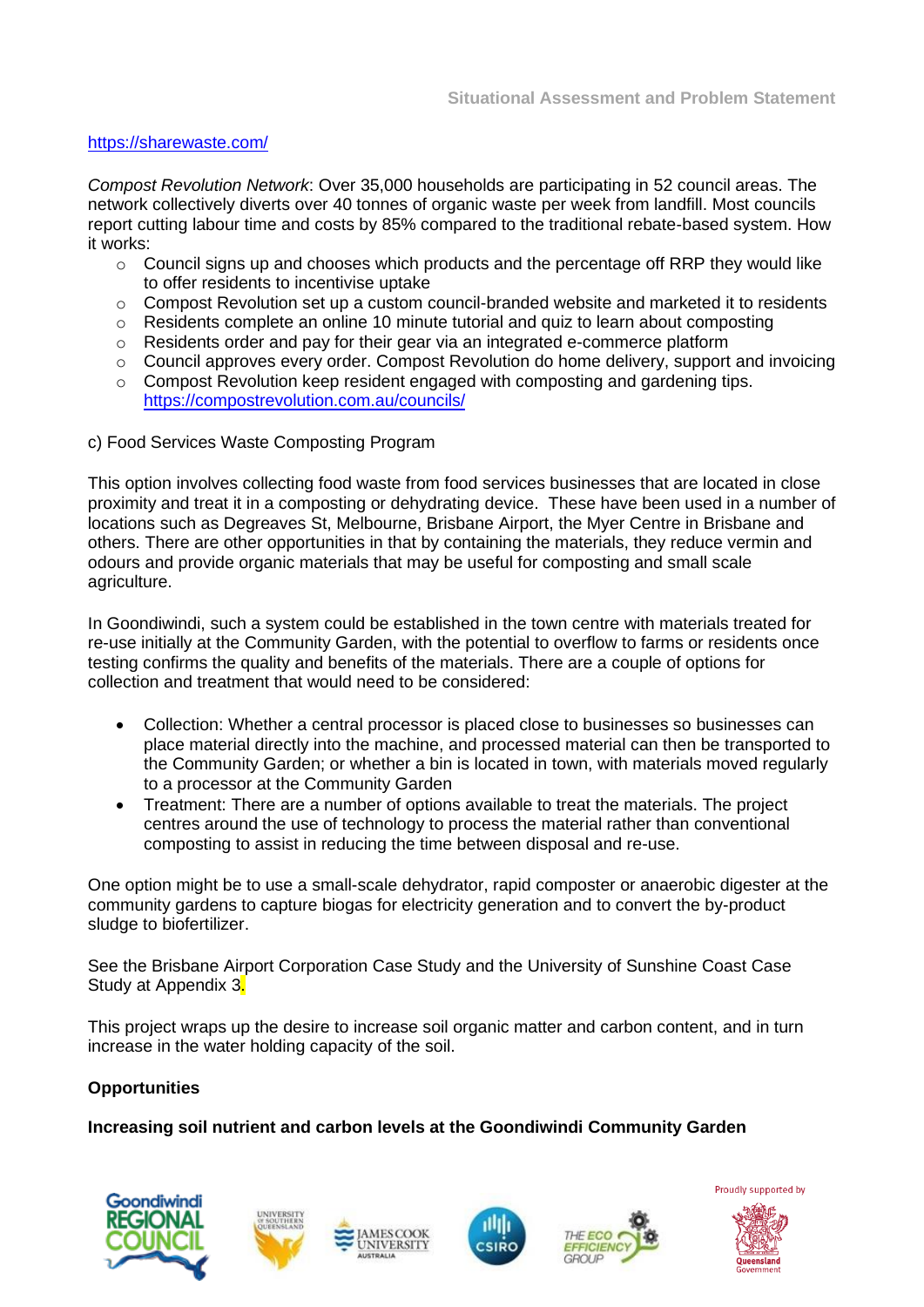#### <https://sharewaste.com/>

*Compost Revolution Network*: Over 35,000 households are participating in 52 council areas. The network collectively diverts over 40 tonnes of organic waste per week from landfill. Most councils report cutting labour time and costs by 85% compared to the traditional rebate-based system. How it works:

- o Council signs up and chooses which products and the percentage off RRP they would like to offer residents to incentivise uptake
- o Compost Revolution set up a custom council-branded website and marketed it to residents
- $\circ$  Residents complete an online 10 minute tutorial and quiz to learn about composting
- $\circ$  Residents order and pay for their gear via an integrated e-commerce platform
- $\circ$  Council approves every order. Compost Revolution do home delivery, support and invoicing
- o Compost Revolution keep resident engaged with composting and gardening tips. <https://compostrevolution.com.au/councils/>
- c) Food Services Waste Composting Program

This option involves collecting food waste from food services businesses that are located in close proximity and treat it in a composting or dehydrating device. These have been used in a number of locations such as Degreaves St, Melbourne, Brisbane Airport, the Myer Centre in Brisbane and others. There are other opportunities in that by containing the materials, they reduce vermin and odours and provide organic materials that may be useful for composting and small scale agriculture.

In Goondiwindi, such a system could be established in the town centre with materials treated for re-use initially at the Community Garden, with the potential to overflow to farms or residents once testing confirms the quality and benefits of the materials. There are a couple of options for collection and treatment that would need to be considered:

- Collection: Whether a central processor is placed close to businesses so businesses can place material directly into the machine, and processed material can then be transported to the Community Garden; or whether a bin is located in town, with materials moved regularly to a processor at the Community Garden
- Treatment: There are a number of options available to treat the materials. The project centres around the use of technology to process the material rather than conventional composting to assist in reducing the time between disposal and re-use.

One option might be to use a small-scale dehydrator, rapid composter or anaerobic digester at the community gardens to capture biogas for electricity generation and to convert the by-product sludge to biofertilizer.

See the Brisbane Airport Corporation Case Study and the University of Sunshine Coast Case Study at Appendix 3.

This project wraps up the desire to increase soil organic matter and carbon content, and in turn increase in the water holding capacity of the soil.

#### **Opportunities**

**Increasing soil nutrient and carbon levels at the Goondiwindi Community Garden** 











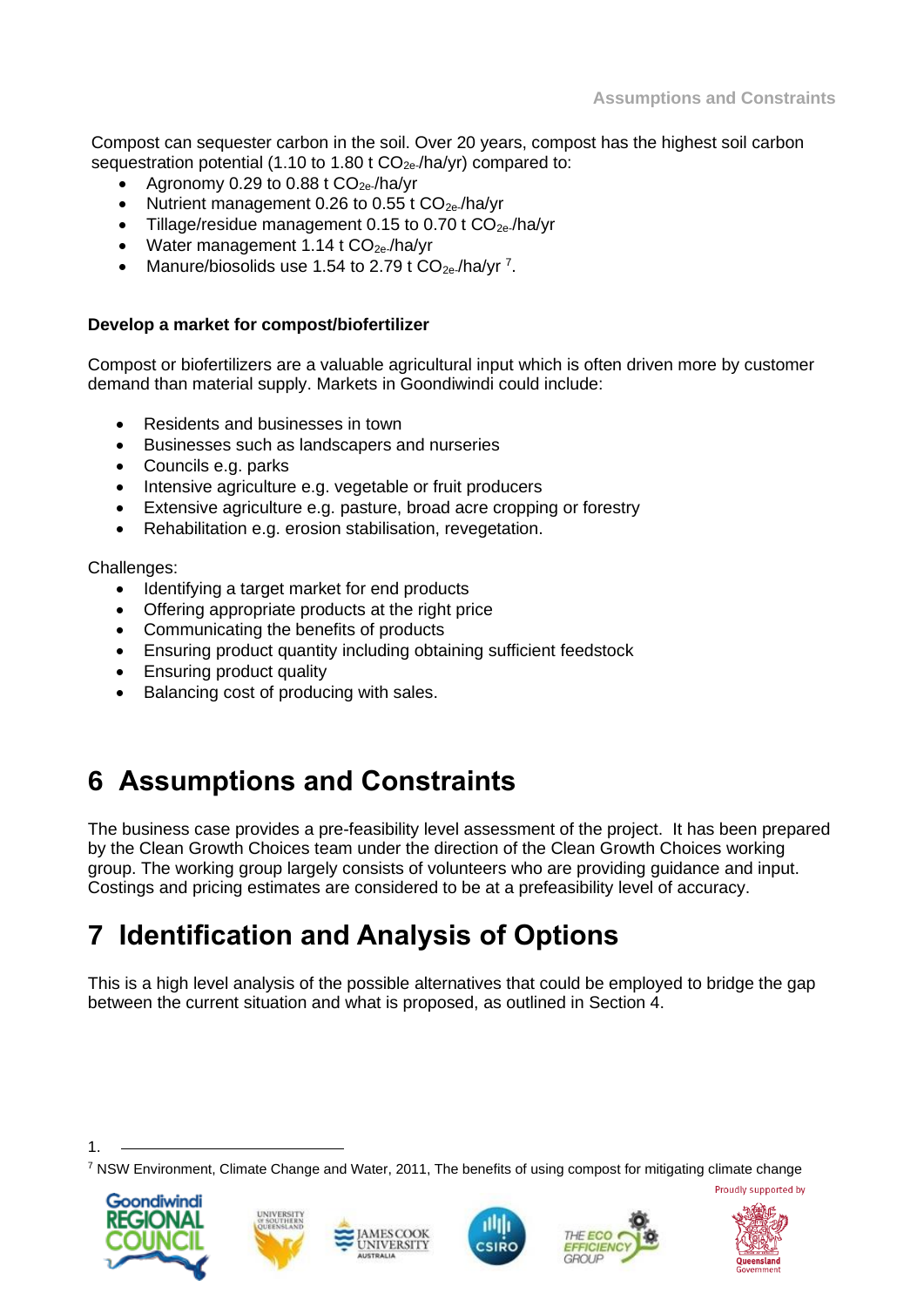Compost can sequester carbon in the soil. Over 20 years, compost has the highest soil carbon sequestration potential (1.10 to 1.80 t  $CO<sub>2e</sub>$ -/ha/yr) compared to:

- Agronomy 0.29 to 0.88 t  $CO_{2e}$ /ha/yr
- Nutrient management 0.26 to 0.55 t  $CO_{2e}$ /ha/vr
- Tillage/residue management 0.15 to 0.70 t  $CO_{2e}$ /ha/yr
- Water management  $1.14$  t  $CO_{2e}$ /ha/yr
- Manure/biosolids use 1.54 to 2.79 t  $CO_{2e}$ /ha/yr<sup>7</sup>.

#### **Develop a market for compost/biofertilizer**

Compost or biofertilizers are a valuable agricultural input which is often driven more by customer demand than material supply. Markets in Goondiwindi could include:

- Residents and businesses in town
- Businesses such as landscapers and nurseries
- Councils e.g. parks
- Intensive agriculture e.g. vegetable or fruit producers
- Extensive agriculture e.g. pasture, broad acre cropping or forestry
- Rehabilitation e.g. erosion stabilisation, revegetation.

Challenges:

- Identifying a target market for end products
- Offering appropriate products at the right price
- Communicating the benefits of products
- Ensuring product quantity including obtaining sufficient feedstock
- Ensuring product quality
- Balancing cost of producing with sales.

# **6 Assumptions and Constraints**

The business case provides a pre-feasibility level assessment of the project. It has been prepared by the Clean Growth Choices team under the direction of the Clean Growth Choices working group. The working group largely consists of volunteers who are providing guidance and input. Costings and pricing estimates are considered to be at a prefeasibility level of accuracy.

# **7 Identification and Analysis of Options**

This is a high level analysis of the possible alternatives that could be employed to bridge the gap between the current situation and what is proposed, as outlined in Section 4.

<sup>7</sup> NSW Environment, Climate Change and Water, 2011, The benefits of using compost for mitigating climate change



1.









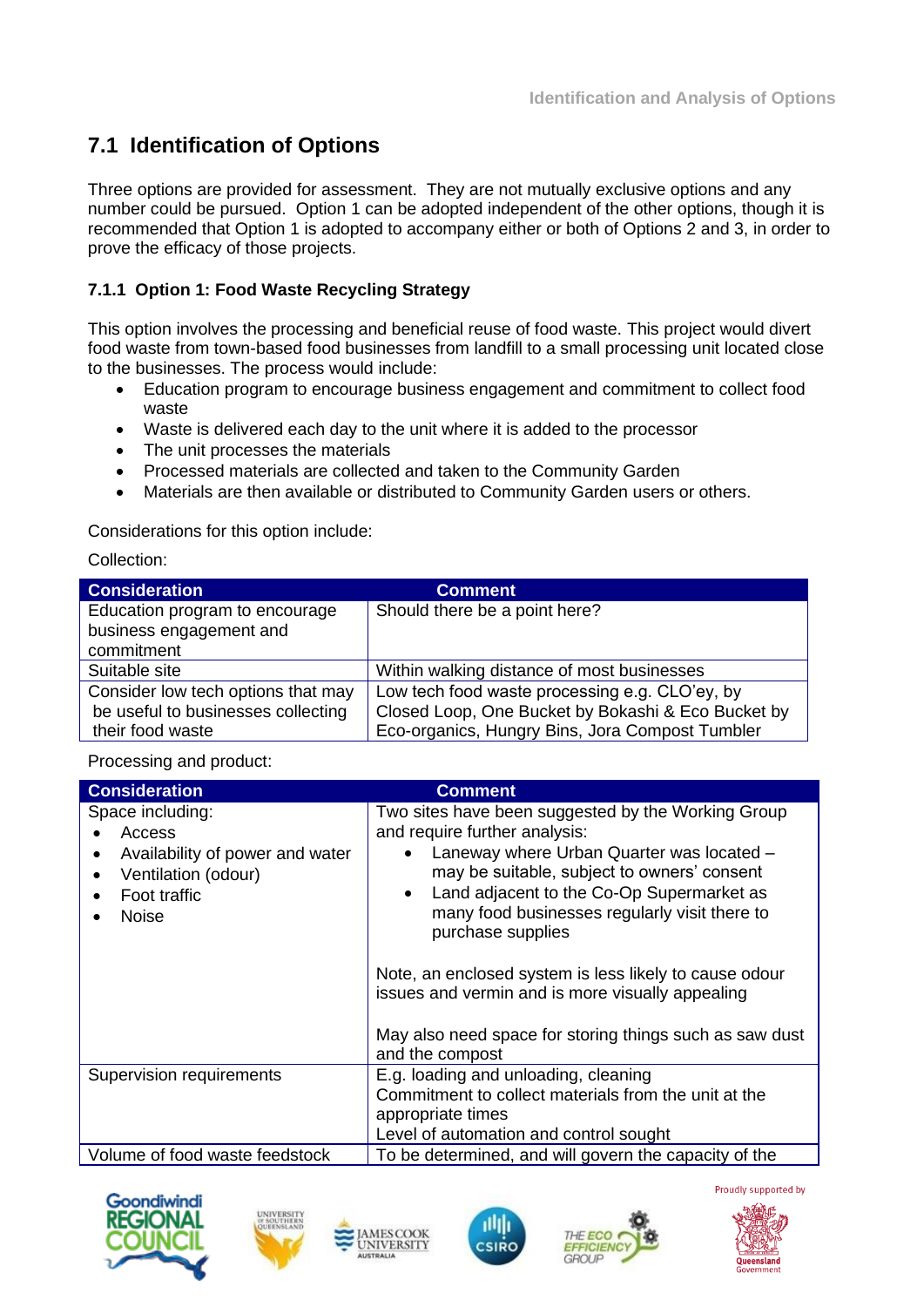## **7.1 Identification of Options**

Three options are provided for assessment. They are not mutually exclusive options and any number could be pursued. Option 1 can be adopted independent of the other options, though it is recommended that Option 1 is adopted to accompany either or both of Options 2 and 3, in order to prove the efficacy of those projects.

#### **7.1.1 Option 1: Food Waste Recycling Strategy**

This option involves the processing and beneficial reuse of food waste. This project would divert food waste from town-based food businesses from landfill to a small processing unit located close to the businesses. The process would include:

- Education program to encourage business engagement and commitment to collect food waste
- Waste is delivered each day to the unit where it is added to the processor
- The unit processes the materials
- Processed materials are collected and taken to the Community Garden
- Materials are then available or distributed to Community Garden users or others.

Considerations for this option include:

Collection:

| <b>Consideration</b>               | <b>Comment</b>                                     |
|------------------------------------|----------------------------------------------------|
| Education program to encourage     | Should there be a point here?                      |
| business engagement and            |                                                    |
| commitment                         |                                                    |
| Suitable site                      | Within walking distance of most businesses         |
| Consider low tech options that may | Low tech food waste processing e.g. CLO'ey, by     |
| be useful to businesses collecting | Closed Loop, One Bucket by Bokashi & Eco Bucket by |
| their food waste                   | Eco-organics, Hungry Bins, Jora Compost Tumbler    |

Processing and product:

| <b>Consideration</b>                                                                                                                                                                    | <b>Comment</b>                                                                                                                                                                                                                                                                                                                                                                                                                                                                                 |
|-----------------------------------------------------------------------------------------------------------------------------------------------------------------------------------------|------------------------------------------------------------------------------------------------------------------------------------------------------------------------------------------------------------------------------------------------------------------------------------------------------------------------------------------------------------------------------------------------------------------------------------------------------------------------------------------------|
| Space including:<br>Access<br>Availability of power and water<br>Ventilation (odour)<br>$\bullet$<br>Foot traffic<br><b>Noise</b>                                                       | Two sites have been suggested by the Working Group<br>and require further analysis:<br>Laneway where Urban Quarter was located -<br>may be suitable, subject to owners' consent<br>Land adjacent to the Co-Op Supermarket as<br>many food businesses regularly visit there to<br>purchase supplies<br>Note, an enclosed system is less likely to cause odour<br>issues and vermin and is more visually appealing<br>May also need space for storing things such as saw dust<br>and the compost |
| Supervision requirements<br>E.g. loading and unloading, cleaning<br>Commitment to collect materials from the unit at the<br>appropriate times<br>Level of automation and control sought |                                                                                                                                                                                                                                                                                                                                                                                                                                                                                                |
| Volume of food waste feedstock                                                                                                                                                          | To be determined, and will govern the capacity of the                                                                                                                                                                                                                                                                                                                                                                                                                                          |











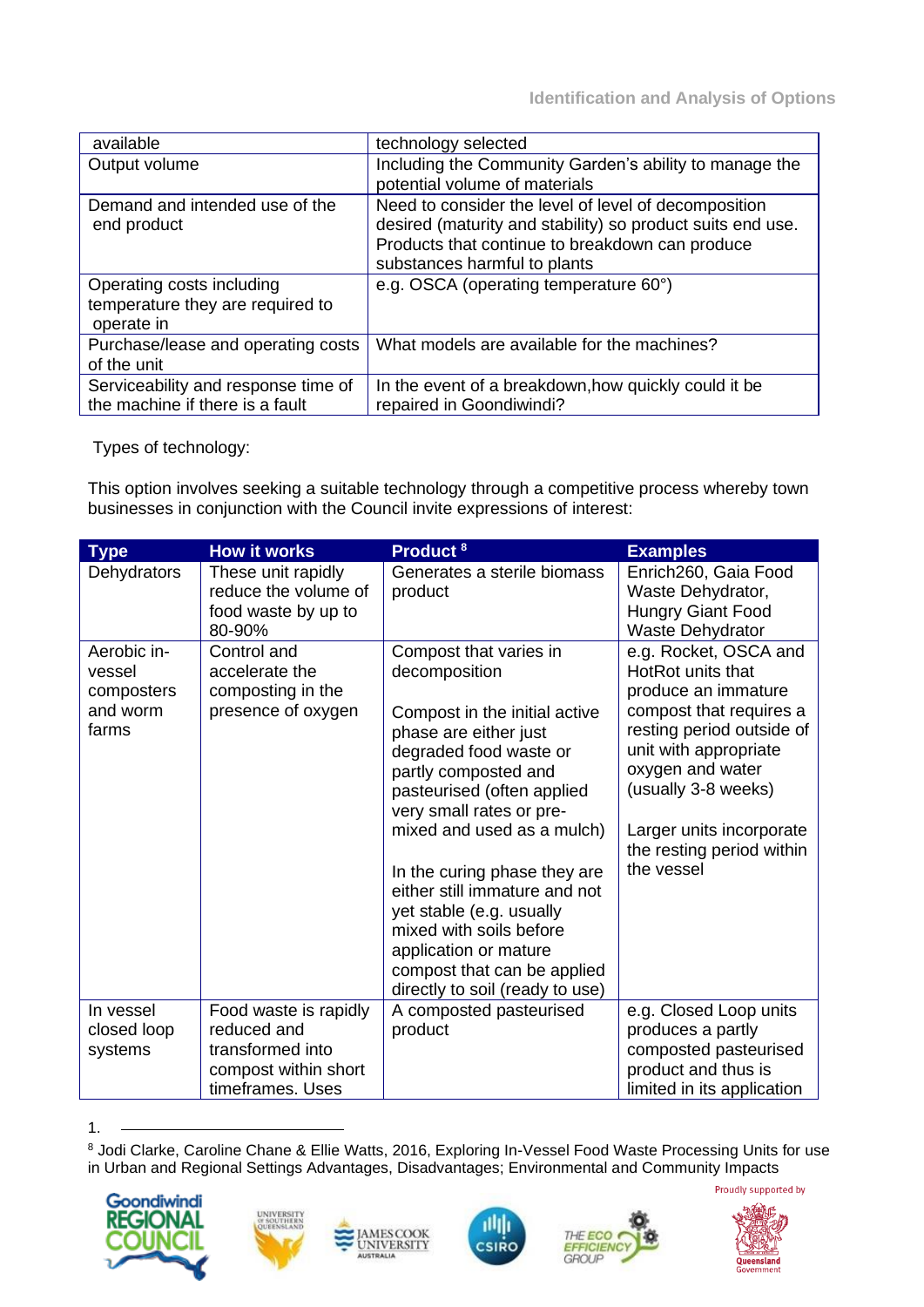| available                           | technology selected                                        |  |
|-------------------------------------|------------------------------------------------------------|--|
| Output volume                       | Including the Community Garden's ability to manage the     |  |
|                                     | potential volume of materials                              |  |
| Demand and intended use of the      | Need to consider the level of level of decomposition       |  |
| end product                         | desired (maturity and stability) so product suits end use. |  |
|                                     | Products that continue to breakdown can produce            |  |
|                                     | substances harmful to plants                               |  |
| Operating costs including           | e.g. OSCA (operating temperature 60°)                      |  |
| temperature they are required to    |                                                            |  |
| operate in                          |                                                            |  |
| Purchase/lease and operating costs  | What models are available for the machines?                |  |
| of the unit                         |                                                            |  |
| Serviceability and response time of | In the event of a breakdown, how quickly could it be       |  |
| the machine if there is a fault     | repaired in Goondiwindi?                                   |  |

Types of technology:

This option involves seeking a suitable technology through a competitive process whereby town businesses in conjunction with the Council invite expressions of interest:

| <b>Type</b>                                              | <b>How it works</b>                                                                                  | Product <sup>8</sup>                                                                                                                                                                                                                                                                                                                                                                                                                                           | <b>Examples</b>                                                                                                                                                                                                                                                      |
|----------------------------------------------------------|------------------------------------------------------------------------------------------------------|----------------------------------------------------------------------------------------------------------------------------------------------------------------------------------------------------------------------------------------------------------------------------------------------------------------------------------------------------------------------------------------------------------------------------------------------------------------|----------------------------------------------------------------------------------------------------------------------------------------------------------------------------------------------------------------------------------------------------------------------|
| Dehydrators                                              | These unit rapidly<br>reduce the volume of<br>food waste by up to<br>80-90%                          | Generates a sterile biomass<br>product                                                                                                                                                                                                                                                                                                                                                                                                                         | Enrich260, Gaia Food<br>Waste Dehydrator,<br>Hungry Giant Food<br><b>Waste Dehydrator</b>                                                                                                                                                                            |
| Aerobic in-<br>vessel<br>composters<br>and worm<br>farms | Control and<br>accelerate the<br>composting in the<br>presence of oxygen                             | Compost that varies in<br>decomposition<br>Compost in the initial active<br>phase are either just<br>degraded food waste or<br>partly composted and<br>pasteurised (often applied<br>very small rates or pre-<br>mixed and used as a mulch)<br>In the curing phase they are<br>either still immature and not<br>yet stable (e.g. usually<br>mixed with soils before<br>application or mature<br>compost that can be applied<br>directly to soil (ready to use) | e.g. Rocket, OSCA and<br>HotRot units that<br>produce an immature<br>compost that requires a<br>resting period outside of<br>unit with appropriate<br>oxygen and water<br>(usually 3-8 weeks)<br>Larger units incorporate<br>the resting period within<br>the vessel |
| In vessel<br>closed loop<br>systems                      | Food waste is rapidly<br>reduced and<br>transformed into<br>compost within short<br>timeframes. Uses | A composted pasteurised<br>product                                                                                                                                                                                                                                                                                                                                                                                                                             | e.g. Closed Loop units<br>produces a partly<br>composted pasteurised<br>product and thus is<br>limited in its application                                                                                                                                            |

<sup>1.</sup>

<sup>8</sup> Jodi Clarke, Caroline Chane & Ellie Watts, 2016, Exploring In-Vessel Food Waste Processing Units for use in Urban and Regional Settings Advantages, Disadvantages; Environmental and Community Impacts











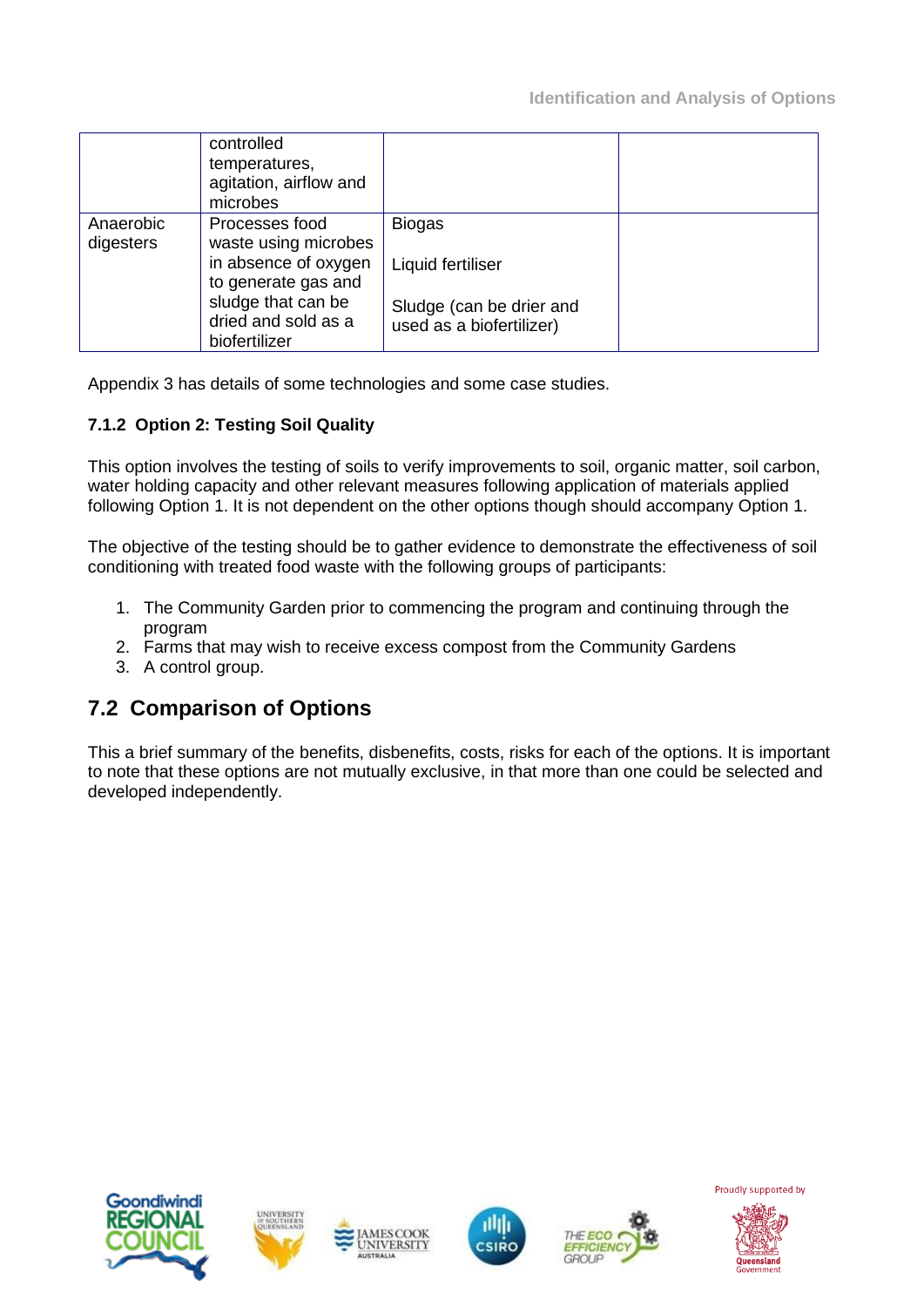|                        | controlled<br>temperatures,<br>agitation, airflow and<br>microbes |                                                      |  |
|------------------------|-------------------------------------------------------------------|------------------------------------------------------|--|
| Anaerobic<br>digesters | Processes food<br>waste using microbes                            | <b>Biogas</b>                                        |  |
|                        | in absence of oxygen<br>to generate gas and                       | Liquid fertiliser                                    |  |
|                        | sludge that can be<br>dried and sold as a<br>biofertilizer        | Sludge (can be drier and<br>used as a biofertilizer) |  |

Appendix 3 has details of some technologies and some case studies.

### **7.1.2 Option 2: Testing Soil Quality**

This option involves the testing of soils to verify improvements to soil, organic matter, soil carbon, water holding capacity and other relevant measures following application of materials applied following Option 1. It is not dependent on the other options though should accompany Option 1.

The objective of the testing should be to gather evidence to demonstrate the effectiveness of soil conditioning with treated food waste with the following groups of participants:

- 1. The Community Garden prior to commencing the program and continuing through the program
- 2. Farms that may wish to receive excess compost from the Community Gardens
- 3. A control group.

## **7.2 Comparison of Options**

This a brief summary of the benefits, disbenefits, costs, risks for each of the options. It is important to note that these options are not mutually exclusive, in that more than one could be selected and developed independently.











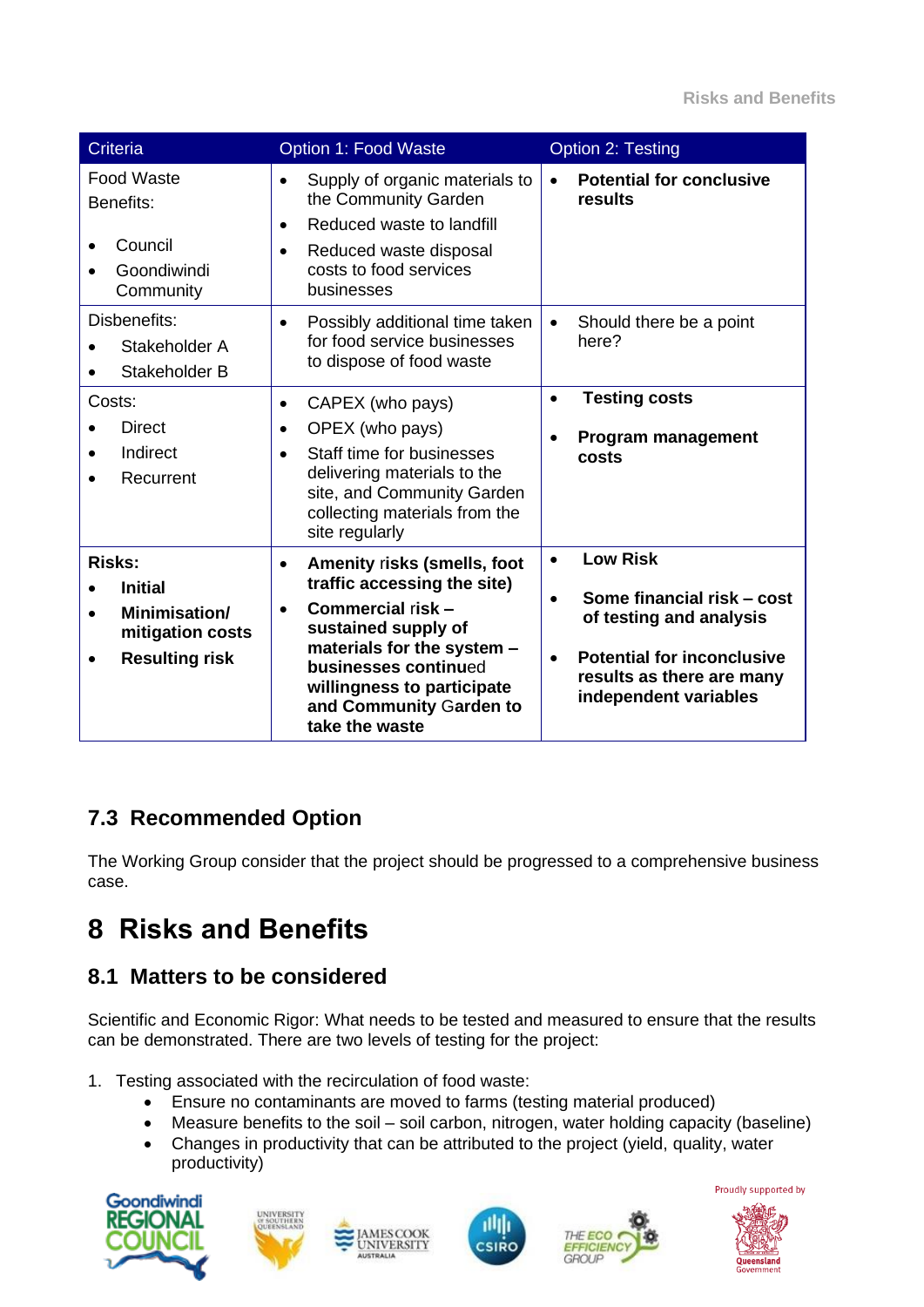| <b>Criteria</b>                                                                               | Option 1: Food Waste                                                                                                                                                                                                                                              | <b>Option 2: Testing</b>                                                                                                                                                                      |
|-----------------------------------------------------------------------------------------------|-------------------------------------------------------------------------------------------------------------------------------------------------------------------------------------------------------------------------------------------------------------------|-----------------------------------------------------------------------------------------------------------------------------------------------------------------------------------------------|
| <b>Food Waste</b><br>Benefits:<br>Council<br>Goondiwindi<br>Community                         | Supply of organic materials to<br>$\bullet$<br>the Community Garden<br>Reduced waste to landfill<br>$\bullet$<br>Reduced waste disposal<br>$\bullet$<br>costs to food services<br>businesses                                                                      | <b>Potential for conclusive</b><br>$\bullet$<br>results                                                                                                                                       |
| Disbenefits:<br>Stakeholder A<br>Stakeholder B                                                | Possibly additional time taken<br>$\bullet$<br>for food service businesses<br>to dispose of food waste                                                                                                                                                            | Should there be a point<br>$\bullet$<br>here?                                                                                                                                                 |
| Costs:<br><b>Direct</b><br>Indirect<br>Recurrent                                              | CAPEX (who pays)<br>$\bullet$<br>OPEX (who pays)<br>$\bullet$<br>Staff time for businesses<br>$\bullet$<br>delivering materials to the<br>site, and Community Garden<br>collecting materials from the<br>site regularly                                           | <b>Testing costs</b><br>$\bullet$<br><b>Program management</b><br>costs                                                                                                                       |
| <b>Risks:</b><br><b>Initial</b><br>Minimisation/<br>mitigation costs<br><b>Resulting risk</b> | Amenity risks (smells, foot<br>$\bullet$<br>traffic accessing the site)<br>Commercial risk -<br>$\bullet$<br>sustained supply of<br>materials for the system -<br>businesses continued<br>willingness to participate<br>and Community Garden to<br>take the waste | <b>Low Risk</b><br>$\bullet$<br>Some financial risk – cost<br>of testing and analysis<br><b>Potential for inconclusive</b><br>$\bullet$<br>results as there are many<br>independent variables |

## **7.3 Recommended Option**

The Working Group consider that the project should be progressed to a comprehensive business case.

# **8 Risks and Benefits**

## **8.1 Matters to be considered**

Scientific and Economic Rigor: What needs to be tested and measured to ensure that the results can be demonstrated. There are two levels of testing for the project:

- 1. Testing associated with the recirculation of food waste:
	- Ensure no contaminants are moved to farms (testing material produced)
	- Measure benefits to the soil soil carbon, nitrogen, water holding capacity (baseline)
	- Changes in productivity that can be attributed to the project (yield, quality, water productivity)











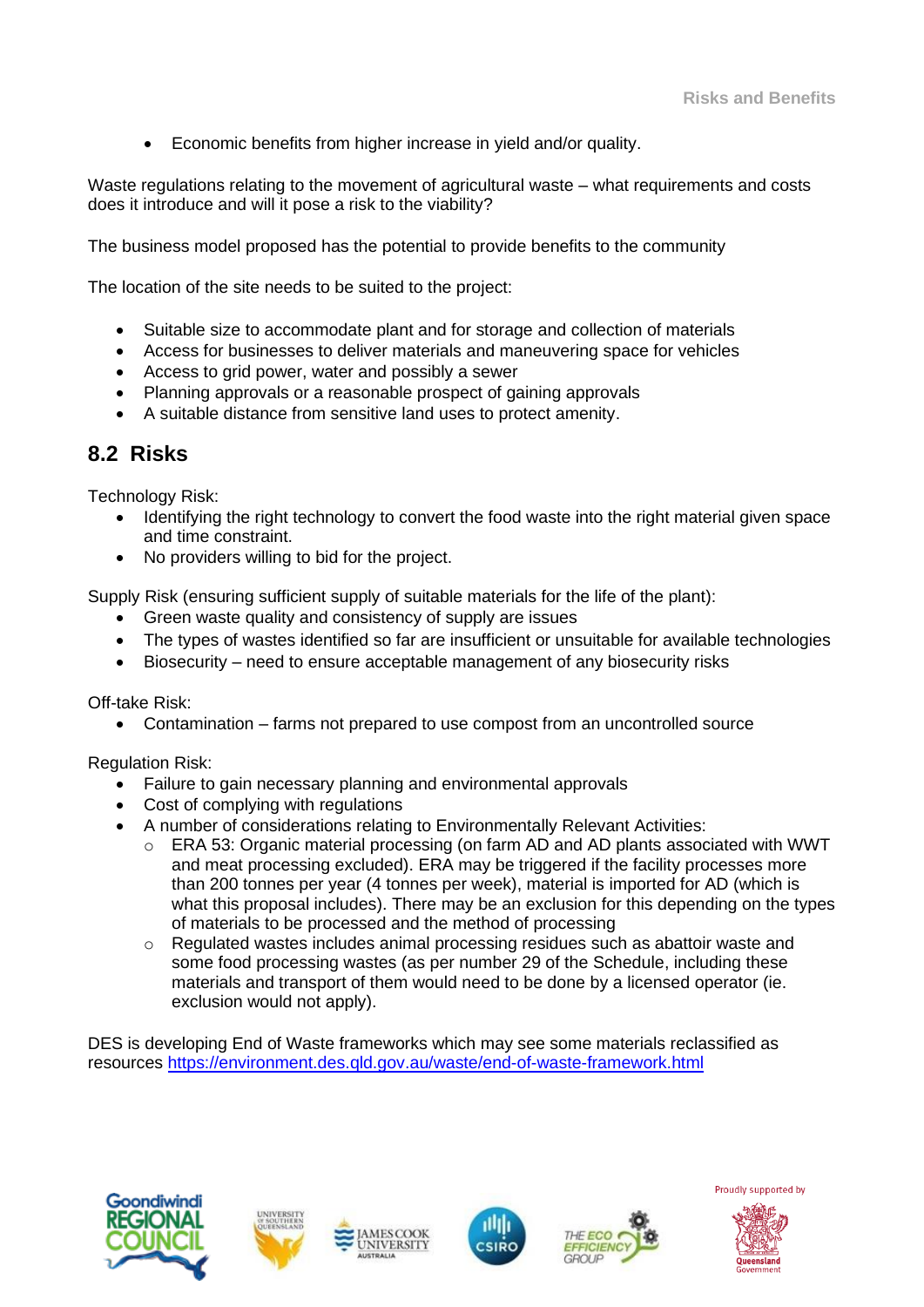• Economic benefits from higher increase in yield and/or quality.

Waste regulations relating to the movement of agricultural waste – what requirements and costs does it introduce and will it pose a risk to the viability?

The business model proposed has the potential to provide benefits to the community

The location of the site needs to be suited to the project:

- Suitable size to accommodate plant and for storage and collection of materials
- Access for businesses to deliver materials and maneuvering space for vehicles
- Access to grid power, water and possibly a sewer
- Planning approvals or a reasonable prospect of gaining approvals
- A suitable distance from sensitive land uses to protect amenity.

### **8.2 Risks**

Technology Risk:

- Identifying the right technology to convert the food waste into the right material given space and time constraint.
- No providers willing to bid for the project.

Supply Risk (ensuring sufficient supply of suitable materials for the life of the plant):

- Green waste quality and consistency of supply are issues
- The types of wastes identified so far are insufficient or unsuitable for available technologies
- Biosecurity need to ensure acceptable management of any biosecurity risks

Off-take Risk:

• Contamination – farms not prepared to use compost from an uncontrolled source

Regulation Risk:

- Failure to gain necessary planning and environmental approvals
- Cost of complying with regulations
- A number of considerations relating to Environmentally Relevant Activities:
	- $\circ$  ERA 53: Organic material processing (on farm AD and AD plants associated with WWT and meat processing excluded). ERA may be triggered if the facility processes more than 200 tonnes per year (4 tonnes per week), material is imported for AD (which is what this proposal includes). There may be an exclusion for this depending on the types of materials to be processed and the method of processing
	- o Regulated wastes includes animal processing residues such as abattoir waste and some food processing wastes (as per number 29 of the Schedule, including these materials and transport of them would need to be done by a licensed operator (ie. exclusion would not apply).

DES is developing End of Waste frameworks which may see some materials reclassified as resources<https://environment.des.qld.gov.au/waste/end-of-waste-framework.html>











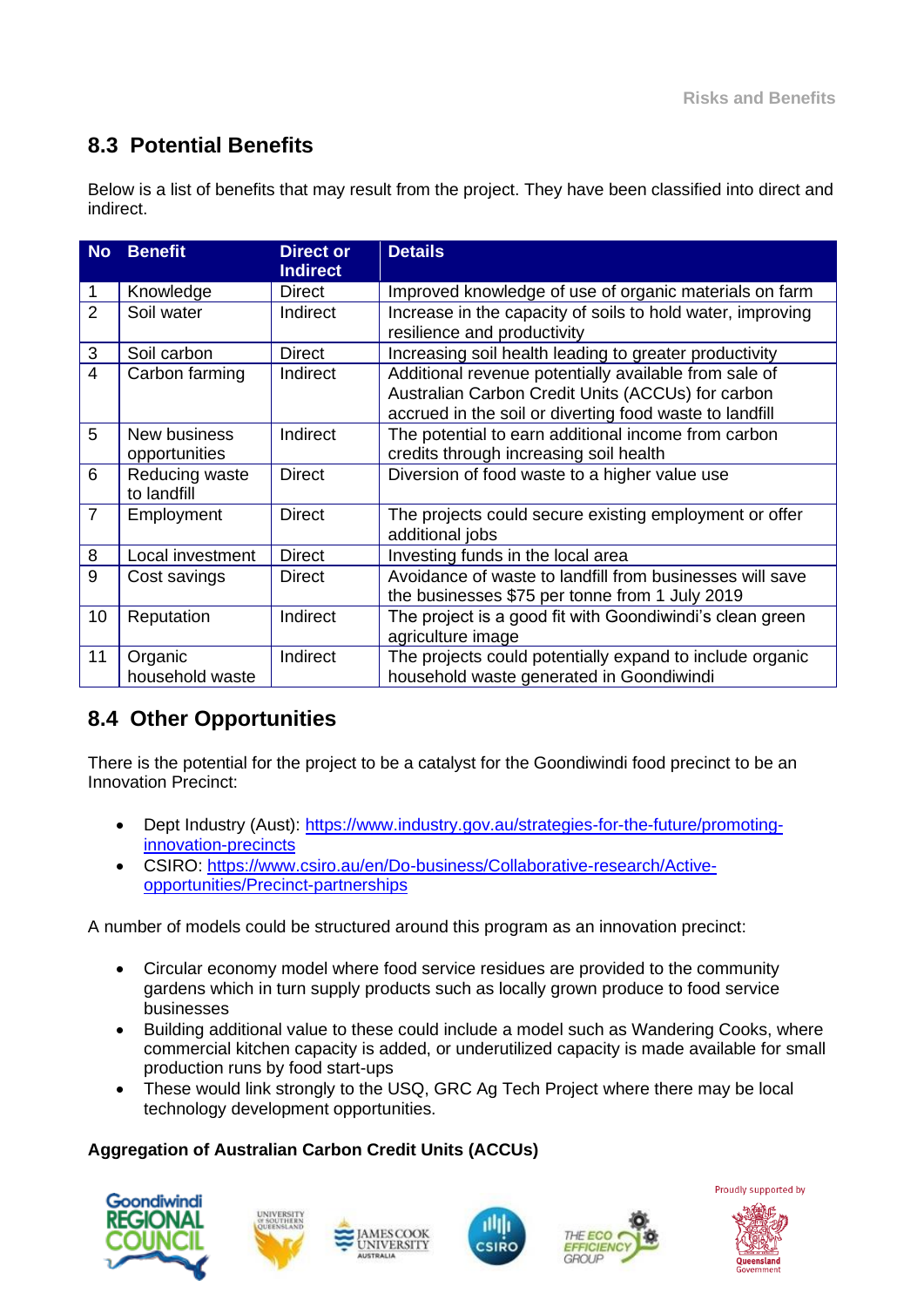## **8.3 Potential Benefits**

Below is a list of benefits that may result from the project. They have been classified into direct and indirect.

| <b>No</b>      | <b>Benefit</b>                | <b>Direct or</b><br><b>Indirect</b> | <b>Details</b>                                                                                                                                                        |
|----------------|-------------------------------|-------------------------------------|-----------------------------------------------------------------------------------------------------------------------------------------------------------------------|
|                | Knowledge                     | <b>Direct</b>                       | Improved knowledge of use of organic materials on farm                                                                                                                |
| 2              | Soil water                    | Indirect                            | Increase in the capacity of soils to hold water, improving<br>resilience and productivity                                                                             |
| 3              | Soil carbon                   | Direct                              | Increasing soil health leading to greater productivity                                                                                                                |
| $\overline{4}$ | Carbon farming                | Indirect                            | Additional revenue potentially available from sale of<br>Australian Carbon Credit Units (ACCUs) for carbon<br>accrued in the soil or diverting food waste to landfill |
| 5              | New business<br>opportunities | Indirect                            | The potential to earn additional income from carbon<br>credits through increasing soil health                                                                         |
| 6              | Reducing waste<br>to landfill | <b>Direct</b>                       | Diversion of food waste to a higher value use                                                                                                                         |
| $\overline{7}$ | Employment                    | <b>Direct</b>                       | The projects could secure existing employment or offer<br>additional jobs                                                                                             |
| 8              | Local investment              | <b>Direct</b>                       | Investing funds in the local area                                                                                                                                     |
| 9              | Cost savings                  | <b>Direct</b>                       | Avoidance of waste to landfill from businesses will save<br>the businesses \$75 per tonne from 1 July 2019                                                            |
| 10             | Reputation                    | Indirect                            | The project is a good fit with Goondiwindi's clean green<br>agriculture image                                                                                         |
| 11             | Organic<br>household waste    | Indirect                            | The projects could potentially expand to include organic<br>household waste generated in Goondiwindi                                                                  |

## **8.4 Other Opportunities**

There is the potential for the project to be a catalyst for the Goondiwindi food precinct to be an Innovation Precinct:

- Dept Industry (Aust): [https://www.industry.gov.au/strategies-for-the-future/promoting](https://www.industry.gov.au/strategies-for-the-future/promoting-innovation-precincts)[innovation-precincts](https://www.industry.gov.au/strategies-for-the-future/promoting-innovation-precincts)
- CSIRO: [https://www.csiro.au/en/Do-business/Collaborative-research/Active](https://www.csiro.au/en/Do-business/Collaborative-research/Active-opportunities/Precinct-partnerships)[opportunities/Precinct-partnerships](https://www.csiro.au/en/Do-business/Collaborative-research/Active-opportunities/Precinct-partnerships)

A number of models could be structured around this program as an innovation precinct:

- Circular economy model where food service residues are provided to the community gardens which in turn supply products such as locally grown produce to food service businesses
- Building additional value to these could include a model such as Wandering Cooks, where commercial kitchen capacity is added, or underutilized capacity is made available for small production runs by food start-ups
- These would link strongly to the USQ, GRC Ag Tech Project where there may be local technology development opportunities.

## **Aggregation of Australian Carbon Credit Units (ACCUs)**











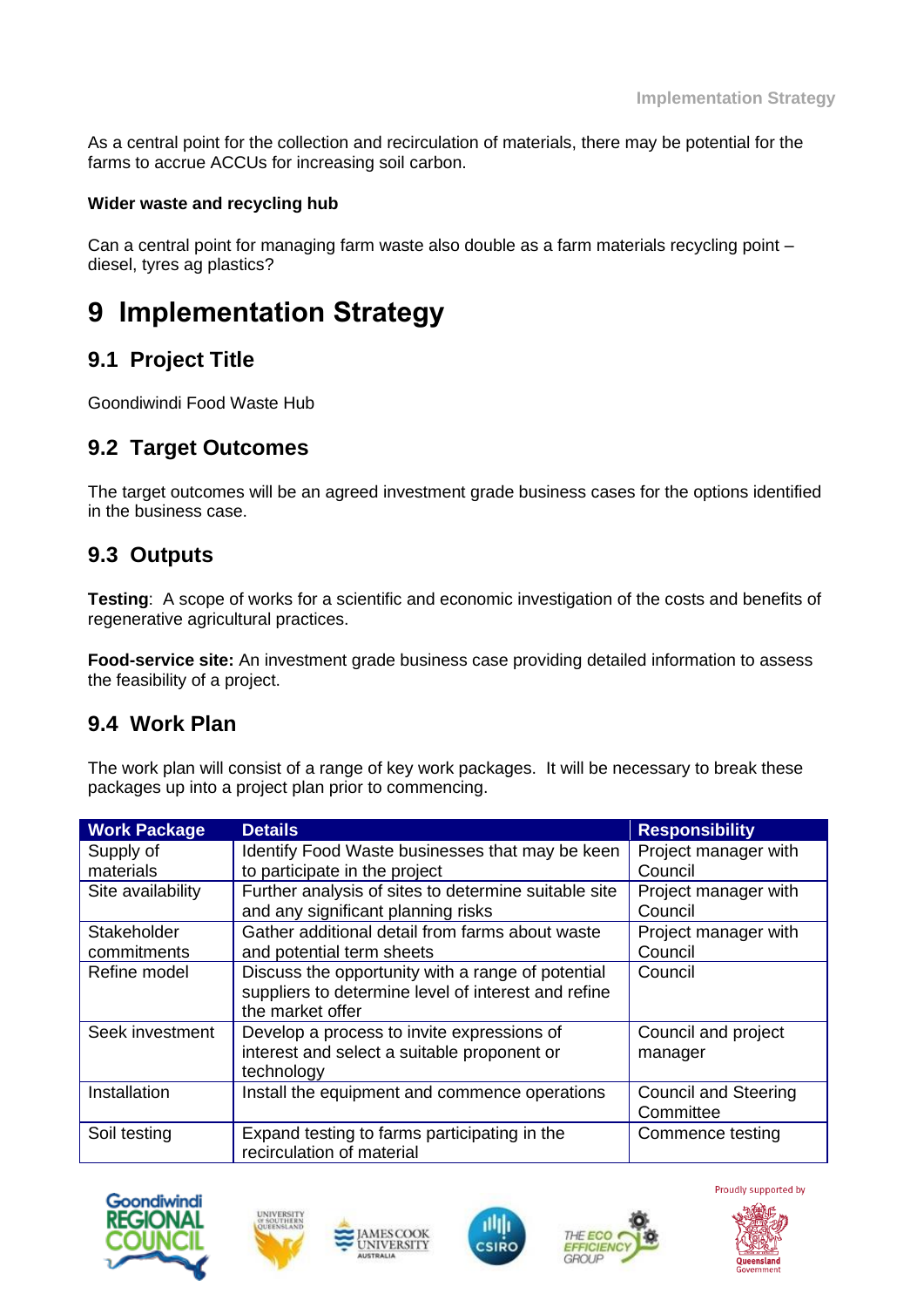As a central point for the collection and recirculation of materials, there may be potential for the farms to accrue ACCUs for increasing soil carbon.

#### **Wider waste and recycling hub**

Can a central point for managing farm waste also double as a farm materials recycling point – diesel, tyres ag plastics?

# **9 Implementation Strategy**

## **9.1 Project Title**

Goondiwindi Food Waste Hub

## **9.2 Target Outcomes**

The target outcomes will be an agreed investment grade business cases for the options identified in the business case.

## **9.3 Outputs**

**Testing**: A scope of works for a scientific and economic investigation of the costs and benefits of regenerative agricultural practices.

**Food-service site:** An investment grade business case providing detailed information to assess the feasibility of a project.

## **9.4 Work Plan**

The work plan will consist of a range of key work packages. It will be necessary to break these packages up into a project plan prior to commencing.

| <b>Work Package</b> | <b>Details</b>                                       | <b>Responsibility</b>       |
|---------------------|------------------------------------------------------|-----------------------------|
| Supply of           | Identify Food Waste businesses that may be keen      | Project manager with        |
| materials           | to participate in the project                        | Council                     |
| Site availability   | Further analysis of sites to determine suitable site | Project manager with        |
|                     | and any significant planning risks                   | Council                     |
| Stakeholder         | Gather additional detail from farms about waste      | Project manager with        |
| commitments         | and potential term sheets                            | Council                     |
| Refine model        | Discuss the opportunity with a range of potential    | Council                     |
|                     | suppliers to determine level of interest and refine  |                             |
|                     | the market offer                                     |                             |
| Seek investment     | Develop a process to invite expressions of           | Council and project         |
|                     | interest and select a suitable proponent or          | manager                     |
|                     | technology                                           |                             |
| Installation        | Install the equipment and commence operations        | <b>Council and Steering</b> |
|                     |                                                      | Committee                   |
| Soil testing        | Expand testing to farms participating in the         | Commence testing            |
|                     | recirculation of material                            |                             |







**MESCOOK NIVERSITY** 



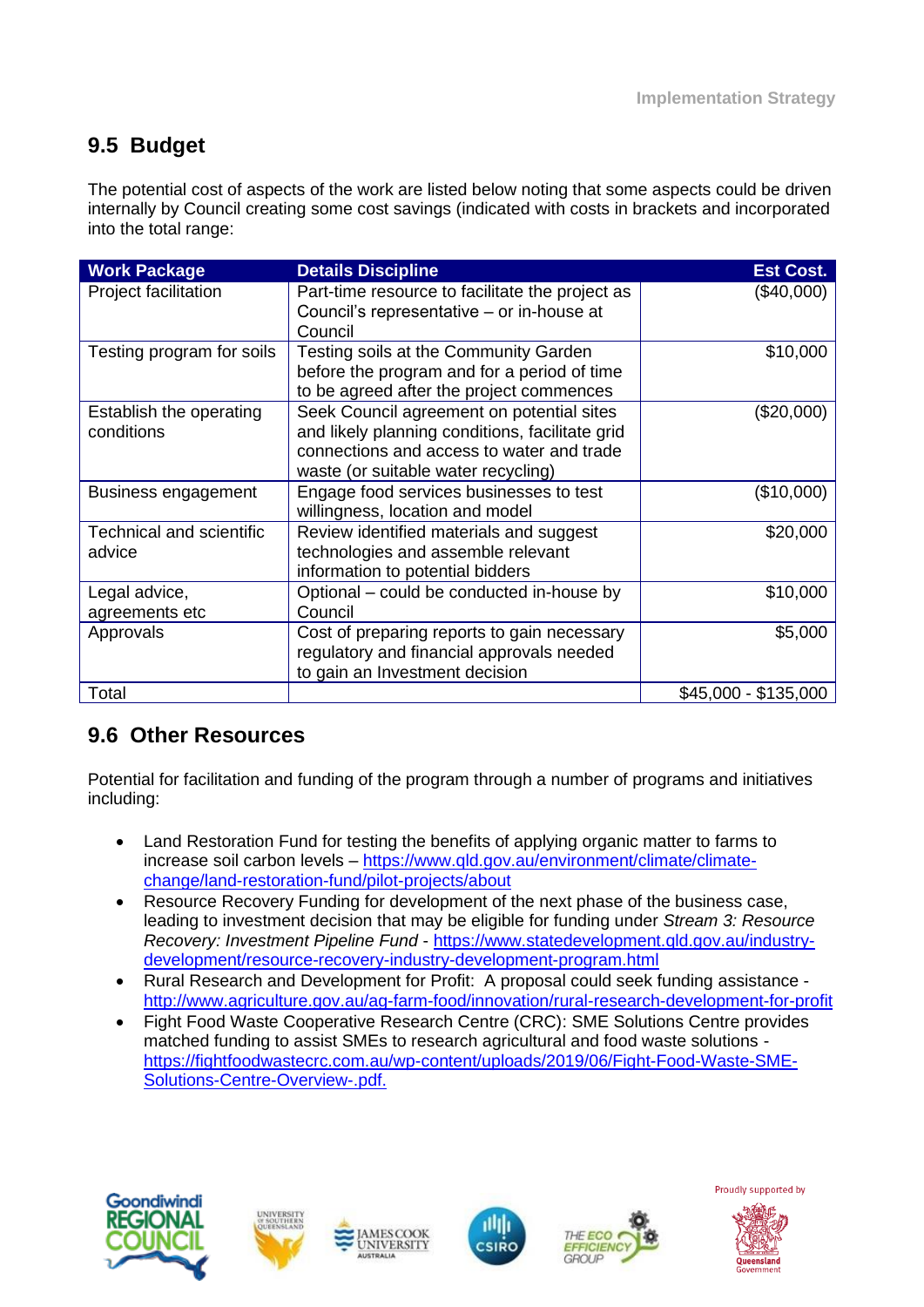## **9.5 Budget**

The potential cost of aspects of the work are listed below noting that some aspects could be driven internally by Council creating some cost savings (indicated with costs in brackets and incorporated into the total range:

| <b>Work Package</b>                       | <b>Details Discipline</b>                                                                                                                                                        | <b>Est Cost.</b>     |
|-------------------------------------------|----------------------------------------------------------------------------------------------------------------------------------------------------------------------------------|----------------------|
| Project facilitation                      | Part-time resource to facilitate the project as<br>Council's representative - or in-house at<br>Council                                                                          | $(\$40,000)$         |
| Testing program for soils                 | Testing soils at the Community Garden<br>before the program and for a period of time<br>to be agreed after the project commences                                                 | \$10,000             |
| Establish the operating<br>conditions     | Seek Council agreement on potential sites<br>and likely planning conditions, facilitate grid<br>connections and access to water and trade<br>waste (or suitable water recycling) | (\$20,000)           |
| <b>Business engagement</b>                | Engage food services businesses to test<br>willingness, location and model                                                                                                       | (\$10,000)           |
| <b>Technical and scientific</b><br>advice | Review identified materials and suggest<br>technologies and assemble relevant<br>information to potential bidders                                                                | \$20,000             |
| Legal advice,<br>agreements etc           | Optional – could be conducted in-house by<br>Council                                                                                                                             | \$10,000             |
| Approvals                                 | Cost of preparing reports to gain necessary<br>regulatory and financial approvals needed<br>to gain an Investment decision                                                       | \$5,000              |
| Total                                     |                                                                                                                                                                                  | \$45,000 - \$135,000 |

## **9.6 Other Resources**

Potential for facilitation and funding of the program through a number of programs and initiatives including:

- Land Restoration Fund for testing the benefits of applying organic matter to farms to increase soil carbon levels – [https://www.qld.gov.au/environment/climate/climate](https://www.qld.gov.au/environment/climate/climate-change/land-restoration-fund/pilot-projects/about)[change/land-restoration-fund/pilot-projects/about](https://www.qld.gov.au/environment/climate/climate-change/land-restoration-fund/pilot-projects/about)
- Resource Recovery Funding for development of the next phase of the business case, leading to investment decision that may be eligible for funding under *Stream 3: Resource Recovery: Investment Pipeline Fund* - https://www.statedevelopment.qld.gov.au/industrydevelopment/resource-recovery-industry-development-program.html
- Rural Research and Development for Profit: A proposal could seek funding assistance <http://www.agriculture.gov.au/ag-farm-food/innovation/rural-research-development-for-profit>
- Fight Food Waste Cooperative Research Centre (CRC): SME Solutions Centre provides matched funding to assist SMEs to research agricultural and food waste solutions [https://fightfoodwastecrc.com.au/wp-content/uploads/2019/06/Fight-Food-Waste-SME-](https://fightfoodwastecrc.com.au/wp-content/uploads/2019/06/Fight-Food-Waste-SME-Solutions-Centre-Overview-.pdf)[Solutions-Centre-Overview-.pdf.](https://fightfoodwastecrc.com.au/wp-content/uploads/2019/06/Fight-Food-Waste-SME-Solutions-Centre-Overview-.pdf)











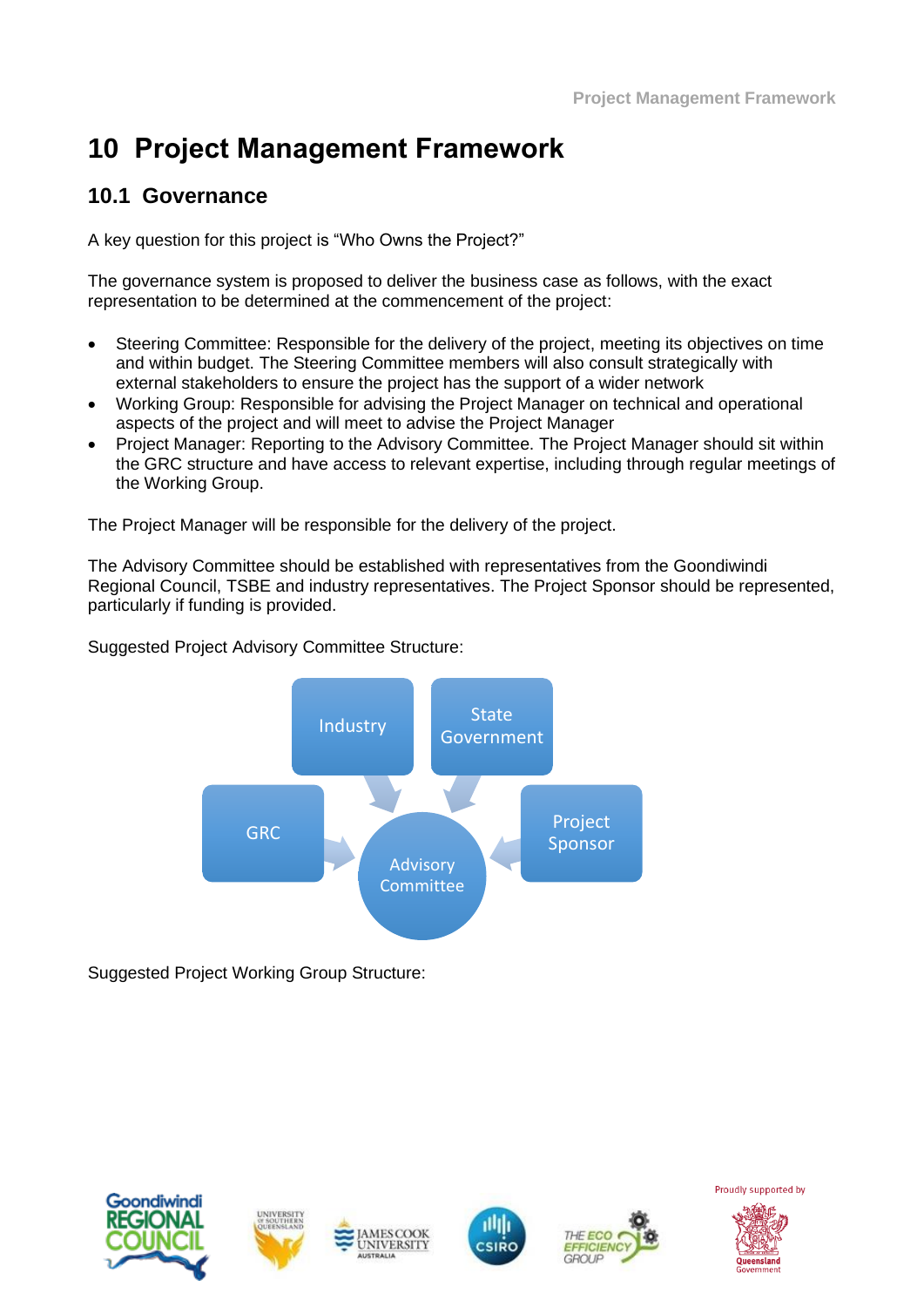# **10 Project Management Framework**

## **10.1 Governance**

A key question for this project is "Who Owns the Project?"

The governance system is proposed to deliver the business case as follows, with the exact representation to be determined at the commencement of the project:

- Steering Committee: Responsible for the delivery of the project, meeting its objectives on time and within budget. The Steering Committee members will also consult strategically with external stakeholders to ensure the project has the support of a wider network
- Working Group: Responsible for advising the Project Manager on technical and operational aspects of the project and will meet to advise the Project Manager
- Project Manager: Reporting to the Advisory Committee. The Project Manager should sit within the GRC structure and have access to relevant expertise, including through regular meetings of the Working Group.

The Project Manager will be responsible for the delivery of the project.

The Advisory Committee should be established with representatives from the Goondiwindi Regional Council, TSBE and industry representatives. The Project Sponsor should be represented, particularly if funding is provided.



Suggested Project Advisory Committee Structure:

Suggested Project Working Group Structure:











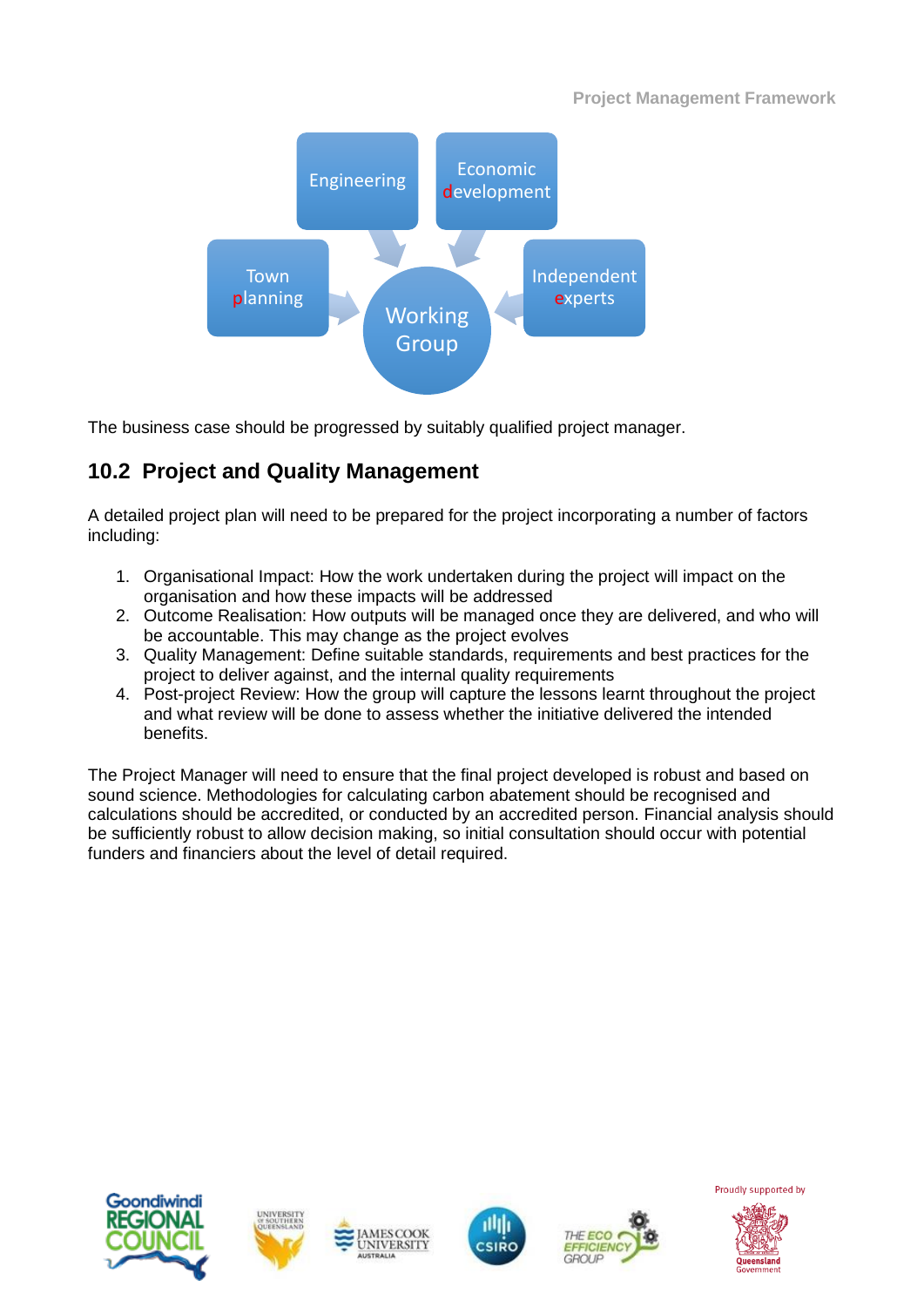

The business case should be progressed by suitably qualified project manager.

## **10.2 Project and Quality Management**

A detailed project plan will need to be prepared for the project incorporating a number of factors including:

- 1. Organisational Impact: How the work undertaken during the project will impact on the organisation and how these impacts will be addressed
- 2. Outcome Realisation: How outputs will be managed once they are delivered, and who will be accountable. This may change as the project evolves
- 3. Quality Management: Define suitable standards, requirements and best practices for the project to deliver against, and the internal quality requirements
- 4. Post-project Review: How the group will capture the lessons learnt throughout the project and what review will be done to assess whether the initiative delivered the intended benefits.

The Project Manager will need to ensure that the final project developed is robust and based on sound science. Methodologies for calculating carbon abatement should be recognised and calculations should be accredited, or conducted by an accredited person. Financial analysis should be sufficiently robust to allow decision making, so initial consultation should occur with potential funders and financiers about the level of detail required.











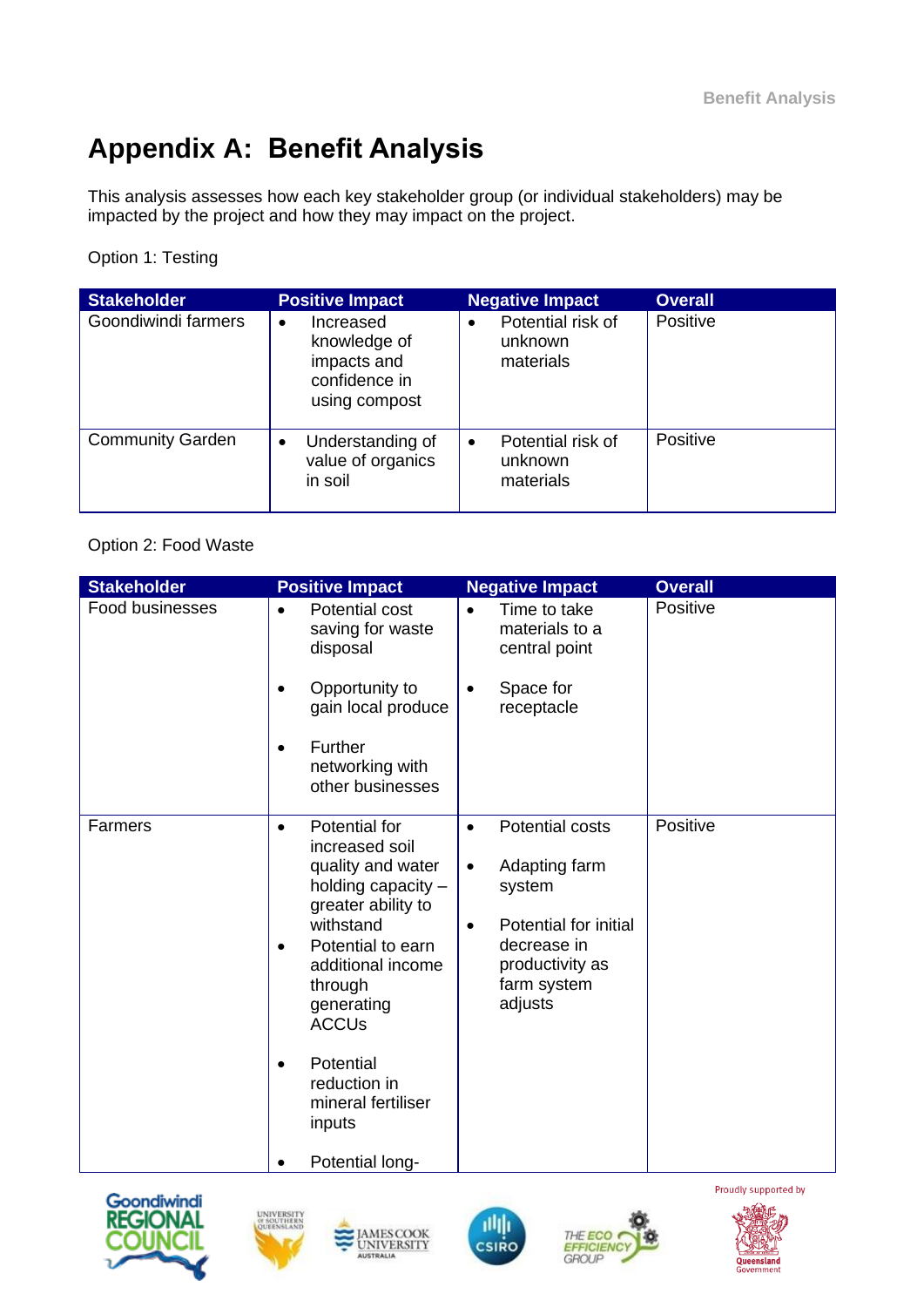# **Appendix A: Benefit Analysis**

This analysis assesses how each key stakeholder group (or individual stakeholders) may be impacted by the project and how they may impact on the project.

### Option 1: Testing

| <b>Stakeholder</b>      | <b>Positive Impact</b>                                                                  | <b>Negative Impact</b>                                 | <b>Overall</b> |
|-------------------------|-----------------------------------------------------------------------------------------|--------------------------------------------------------|----------------|
| Goondiwindi farmers     | Increased<br>$\bullet$<br>knowledge of<br>impacts and<br>confidence in<br>using compost | Potential risk of<br>$\bullet$<br>unknown<br>materials | Positive       |
| <b>Community Garden</b> | Understanding of<br>$\bullet$<br>value of organics<br>in soil                           | Potential risk of<br>$\bullet$<br>unknown<br>materials | Positive       |

Option 2: Food Waste

| Food businesses<br>Positive<br><b>Potential cost</b><br>Time to take<br>$\bullet$<br>$\bullet$<br>saving for waste<br>materials to a<br>disposal<br>central point<br>Opportunity to<br>Space for<br>$\bullet$<br>gain local produce<br>receptacle<br>Further<br>$\bullet$<br>networking with<br>other businesses<br>Positive<br>Farmers<br>Potential for<br><b>Potential costs</b><br>$\bullet$<br>$\bullet$<br>increased soil<br>quality and water<br>Adapting farm<br>$\bullet$<br>holding capacity -<br>system<br>greater ability to<br>withstand<br>Potential for initial<br>$\bullet$<br>decrease in<br>Potential to earn<br>productivity as<br>additional income<br>farm system<br>through<br>adjusts<br>generating<br><b>ACCUs</b><br>Potential<br>$\bullet$<br>reduction in<br>mineral fertiliser<br>inputs | <b>Stakeholder</b> | <b>Positive Impact</b> | <b>Negative Impact</b> | <b>Overall</b> |
|---------------------------------------------------------------------------------------------------------------------------------------------------------------------------------------------------------------------------------------------------------------------------------------------------------------------------------------------------------------------------------------------------------------------------------------------------------------------------------------------------------------------------------------------------------------------------------------------------------------------------------------------------------------------------------------------------------------------------------------------------------------------------------------------------------------------|--------------------|------------------------|------------------------|----------------|
|                                                                                                                                                                                                                                                                                                                                                                                                                                                                                                                                                                                                                                                                                                                                                                                                                     |                    |                        |                        |                |
|                                                                                                                                                                                                                                                                                                                                                                                                                                                                                                                                                                                                                                                                                                                                                                                                                     |                    |                        |                        |                |
|                                                                                                                                                                                                                                                                                                                                                                                                                                                                                                                                                                                                                                                                                                                                                                                                                     |                    |                        |                        |                |
| Potential long-                                                                                                                                                                                                                                                                                                                                                                                                                                                                                                                                                                                                                                                                                                                                                                                                     |                    |                        |                        |                |









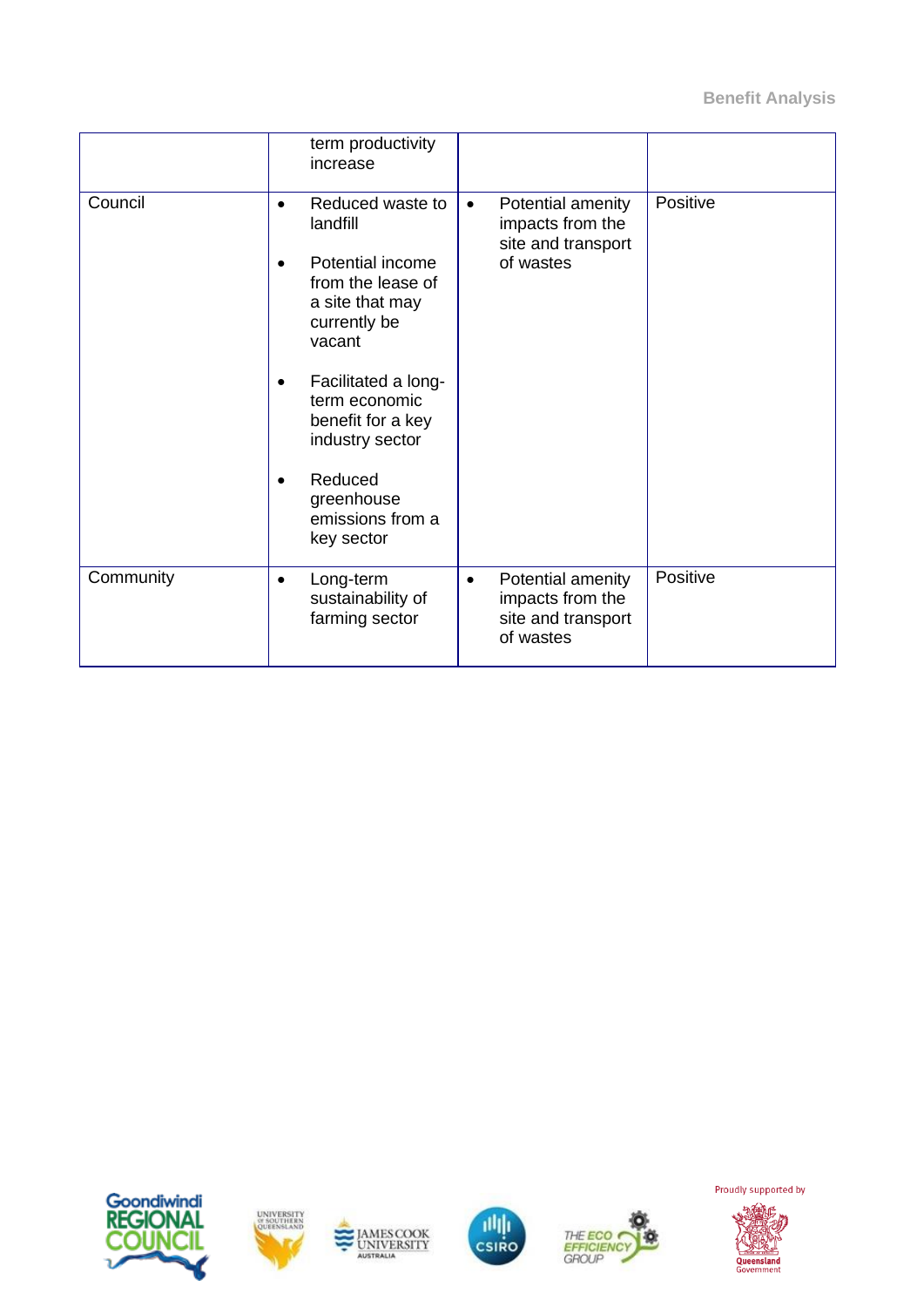|           |                                     | term productivity<br>increase                                                                                                                                                                      |           |                                                                          |          |
|-----------|-------------------------------------|----------------------------------------------------------------------------------------------------------------------------------------------------------------------------------------------------|-----------|--------------------------------------------------------------------------|----------|
| Council   | $\bullet$<br>$\bullet$<br>$\bullet$ | Reduced waste to<br>landfill<br>Potential income<br>from the lease of<br>a site that may<br>currently be<br>vacant<br>Facilitated a long-<br>term economic<br>benefit for a key<br>industry sector | $\bullet$ | Potential amenity<br>impacts from the<br>site and transport<br>of wastes | Positive |
|           | $\bullet$                           | Reduced<br>greenhouse<br>emissions from a<br>key sector                                                                                                                                            |           |                                                                          |          |
| Community | $\bullet$                           | Long-term<br>sustainability of<br>farming sector                                                                                                                                                   | $\bullet$ | Potential amenity<br>impacts from the<br>site and transport<br>of wastes | Positive |











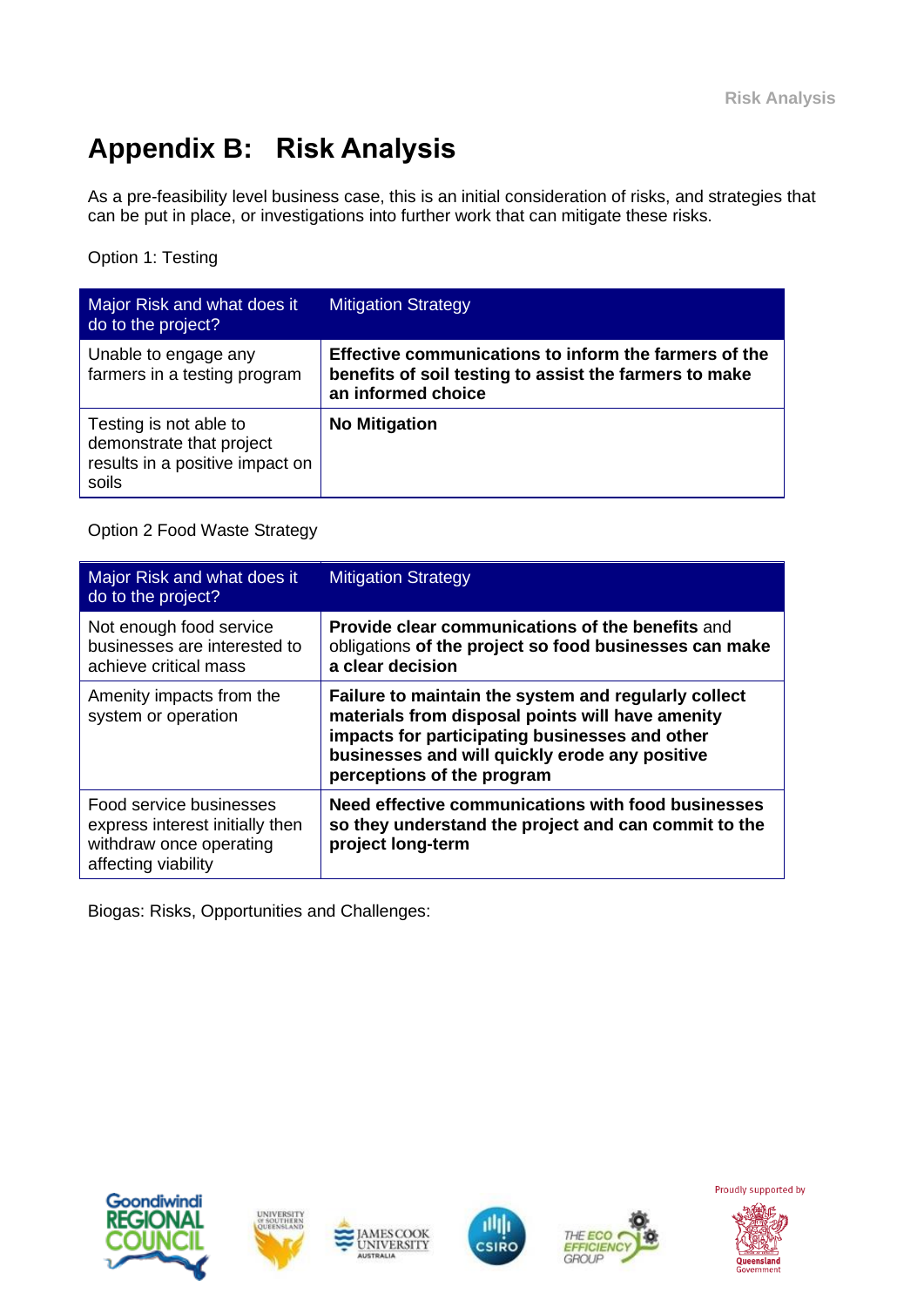# **Appendix B: Risk Analysis**

As a pre-feasibility level business case, this is an initial consideration of risks, and strategies that can be put in place, or investigations into further work that can mitigate these risks.

Option 1: Testing

| Major Risk and what does it<br>do to the project?                                              | <b>Mitigation Strategy</b>                                                                                                            |
|------------------------------------------------------------------------------------------------|---------------------------------------------------------------------------------------------------------------------------------------|
| Unable to engage any<br>farmers in a testing program                                           | Effective communications to inform the farmers of the<br>benefits of soil testing to assist the farmers to make<br>an informed choice |
| Testing is not able to<br>demonstrate that project<br>results in a positive impact on<br>soils | <b>No Mitigation</b>                                                                                                                  |

#### Option 2 Food Waste Strategy

| Major Risk and what does it<br>do to the project?                                                            | <b>Mitigation Strategy</b>                                                                                                                                                                                                                 |
|--------------------------------------------------------------------------------------------------------------|--------------------------------------------------------------------------------------------------------------------------------------------------------------------------------------------------------------------------------------------|
| Not enough food service<br>businesses are interested to<br>achieve critical mass                             | Provide clear communications of the benefits and<br>obligations of the project so food businesses can make<br>a clear decision                                                                                                             |
| Amenity impacts from the<br>system or operation                                                              | Failure to maintain the system and regularly collect<br>materials from disposal points will have amenity<br>impacts for participating businesses and other<br>businesses and will quickly erode any positive<br>perceptions of the program |
| Food service businesses<br>express interest initially then<br>withdraw once operating<br>affecting viability | Need effective communications with food businesses<br>so they understand the project and can commit to the<br>project long-term                                                                                                            |

Biogas: Risks, Opportunities and Challenges:











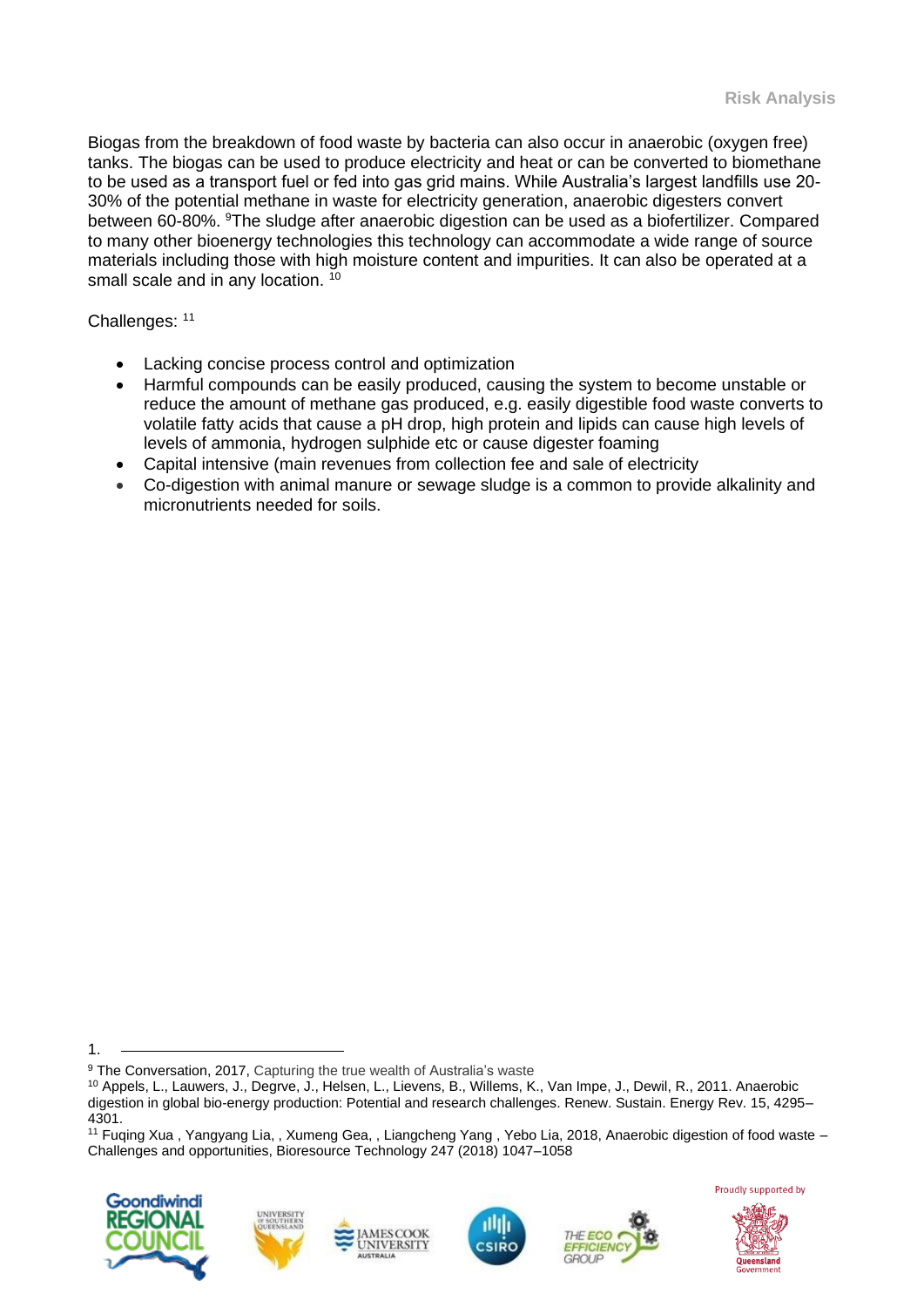Biogas from the breakdown of food waste by bacteria can also occur in anaerobic (oxygen free) tanks. The [biogas](https://theconversation.com/biogas-smells-like-a-solution-to-our-energy-and-waste-problems-36136) can be used to produce electricity and heat or can be converted to biomethane to be used as a transport fuel or fed into gas grid mains. While Australia's largest landfills use 20- 30% of the potential methane in waste for electricity generation, anaerobic digesters convert between 60-80%. <sup>9</sup>The sludge after anaerobic digestion can be used as a biofertilizer. Compared to many other bioenergy technologies this technology can accommodate a wide range of source materials including those with high moisture content and impurities. It can also be operated at a small scale and in any location. <sup>10</sup>

Challenges: 11

- Lacking concise process control and optimization
- Harmful compounds can be easily produced, causing the system to become unstable or reduce the amount of methane gas produced, e.g. easily digestible food waste converts to volatile fatty acids that cause a pH drop, high protein and lipids can cause high levels of levels of ammonia, hydrogen sulphide etc or cause digester foaming
- Capital intensive (main revenues from collection fee and sale of electricity
- Co-digestion with animal manure or sewage sludge is a common to provide alkalinity and micronutrients needed for soils.

<sup>11</sup> Fuqing Xua , Yangyang Lia, , Xumeng Gea, , Liangcheng Yang , Yebo Lia, 2018, Anaerobic digestion of food waste – Challenges and opportunities, Bioresource Technology 247 (2018) 1047–1058











<sup>1.</sup>

<sup>&</sup>lt;sup>9</sup> The Conversation, 2017, Capturing the true wealth of Australia's waste

<sup>10</sup> Appels, L., Lauwers, J., Degrve, J., Helsen, L., Lievens, B., Willems, K., Van Impe, J., Dewil, R., 2011. Anaerobic digestion in global bio-energy production: Potential and research challenges. Renew. Sustain. Energy Rev. 15, 4295– 4301.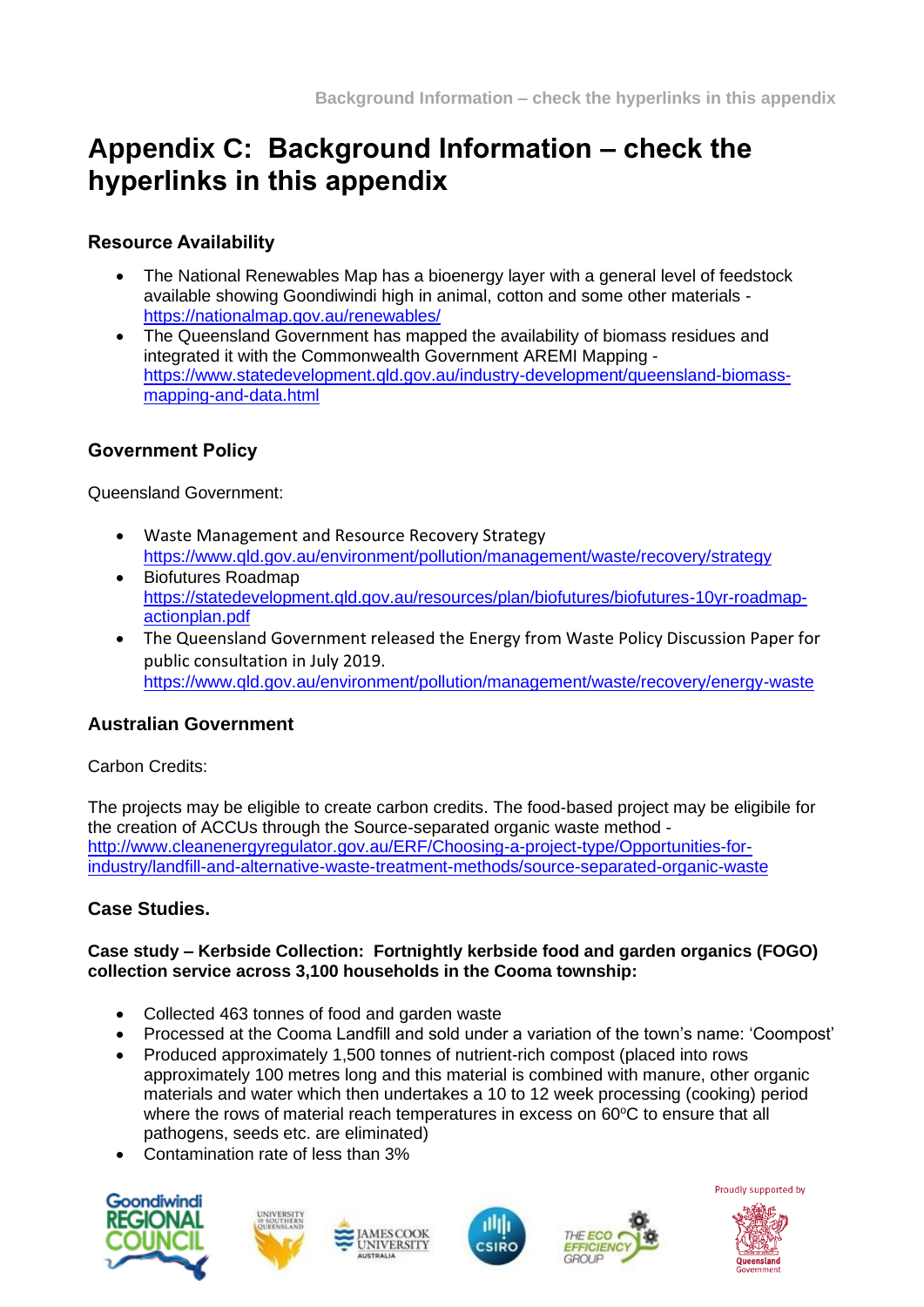## **Appendix C: Background Information – check the hyperlinks in this appendix**

## **Resource Availability**

- The National Renewables Map has a bioenergy layer with a general level of feedstock available showing Goondiwindi high in animal, cotton and some other materials <https://nationalmap.gov.au/renewables/>
- The Queensland Government has mapped the availability of biomass residues and integrated it with the Commonwealth Government AREMI Mapping [https://www.statedevelopment.qld.gov.au/industry-development/queensland-biomass](https://www.statedevelopment.qld.gov.au/industry-development/queensland-biomass-mapping-and-data.html)[mapping-and-data.html](https://www.statedevelopment.qld.gov.au/industry-development/queensland-biomass-mapping-and-data.html)

#### **Government Policy**

Queensland Government:

- Waste Management and Resource Recovery Strategy <https://www.qld.gov.au/environment/pollution/management/waste/recovery/strategy>
- Biofutures Roadmap [https://statedevelopment.qld.gov.au/resources/plan/biofutures/biofutures-10yr-roadmap](https://statedevelopment.qld.gov.au/resources/plan/biofutures/biofutures-10yr-roadmap-actionplan.pdf)[actionplan.pdf](https://statedevelopment.qld.gov.au/resources/plan/biofutures/biofutures-10yr-roadmap-actionplan.pdf)
- The Queensland Government released the Energy from Waste Policy Discussion Paper for public consultation in July 2019. <https://www.qld.gov.au/environment/pollution/management/waste/recovery/energy-waste>

#### **Australian Government**

Carbon Credits:

The projects may be eligible to create carbon credits. The food-based project may be eligibile for the creation of ACCUs through the Source-separated organic waste method [http://www.cleanenergyregulator.gov.au/ERF/Choosing-a-project-type/Opportunities-for](http://www.cleanenergyregulator.gov.au/ERF/Choosing-a-project-type/Opportunities-for-industry/landfill-and-alternative-waste-treatment-methods/source-separated-organic-waste)[industry/landfill-and-alternative-waste-treatment-methods/source-separated-organic-waste](http://www.cleanenergyregulator.gov.au/ERF/Choosing-a-project-type/Opportunities-for-industry/landfill-and-alternative-waste-treatment-methods/source-separated-organic-waste)

#### **Case Studies.**

#### **Case study – Kerbside Collection: Fortnightly kerbside food and garden organics (FOGO) collection service across 3,100 households in the Cooma township:**

- Collected 463 tonnes of food and garden waste
- Processed at the Cooma Landfill and sold under a variation of the town's name: 'Coompost'
- Produced approximately 1,500 tonnes of nutrient-rich compost (placed into rows approximately 100 metres long and this material is combined with manure, other organic materials and water which then undertakes a 10 to 12 week processing (cooking) period where the rows of material reach temperatures in excess on 60°C to ensure that all pathogens, seeds etc. are eliminated)
- Contamination rate of less than 3%













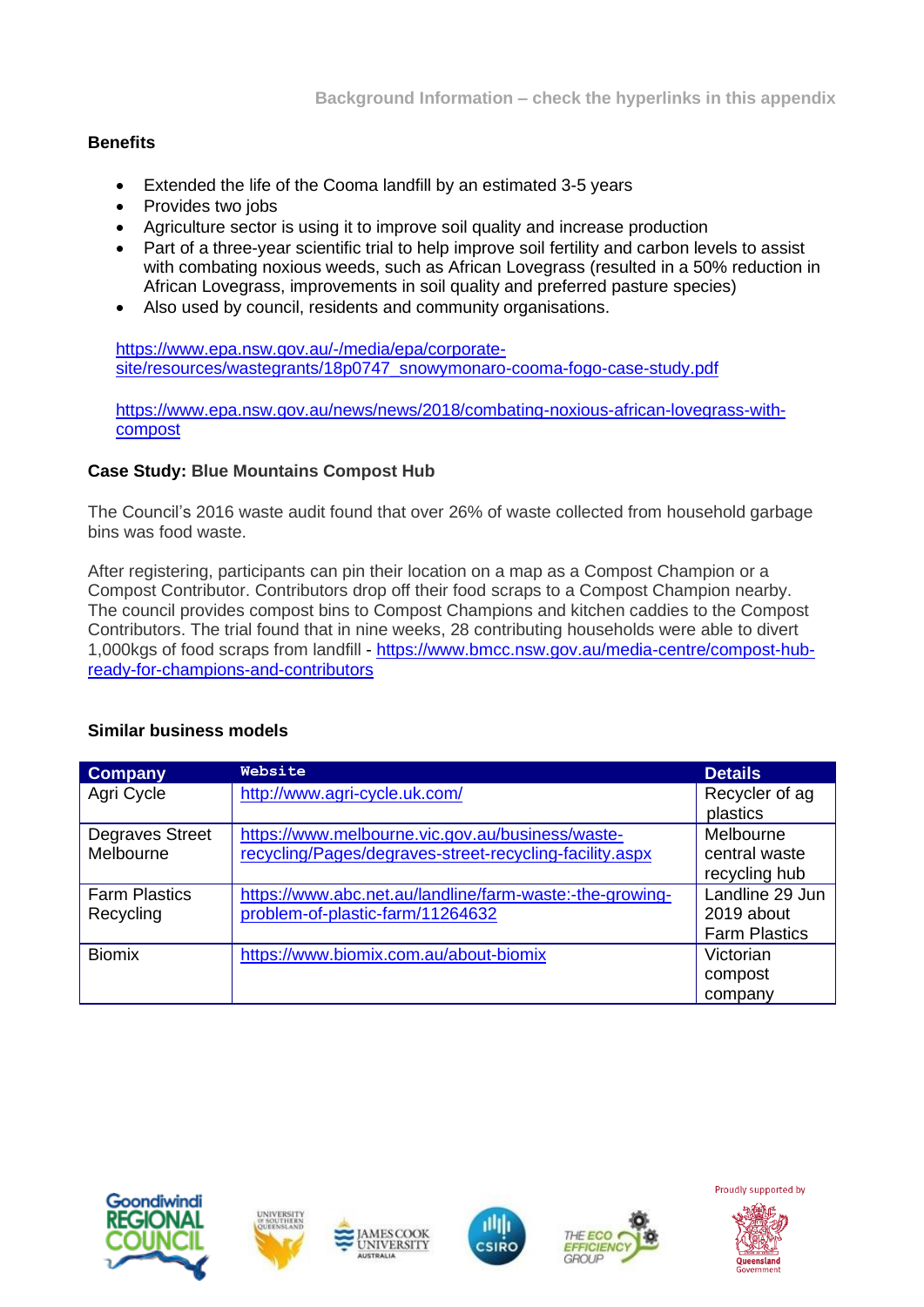#### **Benefits**

- Extended the life of the Cooma landfill by an estimated 3-5 years
- Provides two jobs
- Agriculture sector is using it to improve soil quality and increase production
- Part of a three-year scientific trial to help improve soil fertility and carbon levels to assist with combating noxious weeds, such as African Lovegrass (resulted in a 50% reduction in African Lovegrass, improvements in soil quality and preferred pasture species)
- Also used by council, residents and community organisations.

[https://www.epa.nsw.gov.au/-/media/epa/corporate](https://www.epa.nsw.gov.au/-/media/epa/corporate-site/resources/wastegrants/18p0747_snowymonaro-cooma-fogo-case-study.pdf)[site/resources/wastegrants/18p0747\\_snowymonaro-cooma-fogo-case-study.pdf](https://www.epa.nsw.gov.au/-/media/epa/corporate-site/resources/wastegrants/18p0747_snowymonaro-cooma-fogo-case-study.pdf)

[https://www.epa.nsw.gov.au/news/news/2018/combating-noxious-african-lovegrass-with](https://www.epa.nsw.gov.au/news/news/2018/combating-noxious-african-lovegrass-with-compost)[compost](https://www.epa.nsw.gov.au/news/news/2018/combating-noxious-african-lovegrass-with-compost)

#### **Case Study: Blue Mountains Compost Hub**

The Council's 2016 waste audit found that over 26% of waste collected from household garbage bins was food waste.

After registering, participants can pin their location on a map as a Compost Champion or a Compost Contributor. Contributors drop off their food scraps to a Compost Champion nearby. The council provides compost bins to Compost Champions and kitchen caddies to the Compost Contributors. The trial found that in nine weeks, 28 contributing households were able to divert 1,000kgs of food scraps from landfill - [https://www.bmcc.nsw.gov.au/media-centre/compost-hub](https://www.bmcc.nsw.gov.au/media-centre/compost-hub-ready-for-champions-and-contributors)[ready-for-champions-and-contributors](https://www.bmcc.nsw.gov.au/media-centre/compost-hub-ready-for-champions-and-contributors)

| <b>Company</b>       | Website                                                  | <b>Details</b>       |
|----------------------|----------------------------------------------------------|----------------------|
| Agri Cycle           | http://www.agri-cycle.uk.com/                            | Recycler of ag       |
|                      |                                                          | plastics             |
| Degraves Street      | https://www.melbourne.vic.gov.au/business/waste-         | Melbourne            |
| Melbourne            | recycling/Pages/degraves-street-recycling-facility.aspx  | central waste        |
|                      |                                                          | recycling hub        |
| <b>Farm Plastics</b> | https://www.abc.net.au/landline/farm-waste:-the-growing- | Landline 29 Jun      |
| Recycling            | problem-of-plastic-farm/11264632                         | 2019 about           |
|                      |                                                          | <b>Farm Plastics</b> |
| <b>Biomix</b>        | https://www.biomix.com.au/about-biomix                   | Victorian            |
|                      |                                                          | compost              |
|                      |                                                          | company              |

#### **Similar business models**











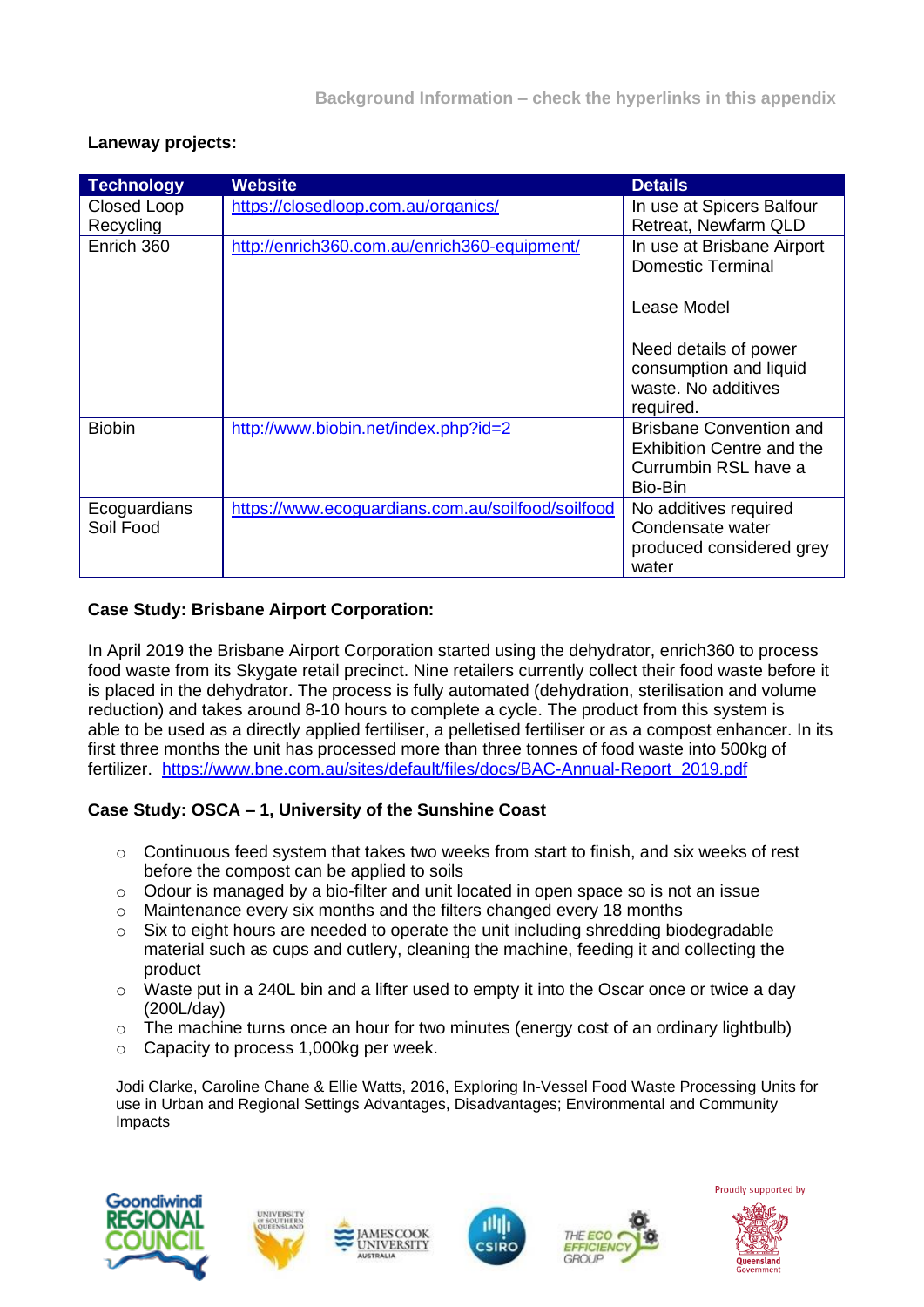| <b>Technology</b> | <b>Website</b>                                    | <b>Details</b>                                  |
|-------------------|---------------------------------------------------|-------------------------------------------------|
| Closed Loop       | https://closedloop.com.au/organics/               | In use at Spicers Balfour                       |
| Recycling         |                                                   | Retreat, Newfarm QLD                            |
| Enrich 360        | http://enrich360.com.au/enrich360-equipment/      | In use at Brisbane Airport<br>Domestic Terminal |
|                   |                                                   | Lease Model                                     |
|                   |                                                   | Need details of power                           |
|                   |                                                   | consumption and liquid                          |
|                   |                                                   | waste. No additives<br>required.                |
| <b>Biobin</b>     | http://www.biobin.net/index.php?id=2              | <b>Brisbane Convention and</b>                  |
|                   |                                                   | <b>Exhibition Centre and the</b>                |
|                   |                                                   | Currumbin RSL have a                            |
|                   |                                                   | Bio-Bin                                         |
| Ecoguardians      | https://www.ecoguardians.com.au/soilfood/soilfood | No additives required                           |
| Soil Food         |                                                   | Condensate water                                |
|                   |                                                   | produced considered grey                        |
|                   |                                                   | water                                           |

#### **Laneway projects:**

#### **Case Study: Brisbane Airport Corporation:**

In April 2019 the Brisbane Airport Corporation started using the dehydrator, enrich360 to process food waste from its Skygate retail precinct. Nine retailers currently collect their food waste before it is placed in the dehydrator. The process is fully automated (dehydration, sterilisation and volume reduction) and takes around 8-10 hours to complete a cycle. The product from this system is able to be used as a directly applied fertiliser, a pelletised fertiliser or as a compost enhancer. In its first three months the unit has processed more than three tonnes of food waste into 500kg of fertilizer. [https://www.bne.com.au/sites/default/files/docs/BAC-Annual-Report\\_2019.pdf](https://www.bne.com.au/sites/default/files/docs/BAC-Annual-Report_2019.pdf)

#### **Case Study: OSCA – 1, University of the Sunshine Coast**

- o Continuous feed system that takes two weeks from start to finish, and six weeks of rest before the compost can be applied to soils
- o Odour is managed by a bio-filter and unit located in open space so is not an issue
- o Maintenance every six months and the filters changed every 18 months
- o Six to eight hours are needed to operate the unit including shredding biodegradable material such as cups and cutlery, cleaning the machine, feeding it and collecting the product
- $\circ$  Waste put in a 240L bin and a lifter used to empty it into the Oscar once or twice a day (200L/day)
- $\circ$  The machine turns once an hour for two minutes (energy cost of an ordinary lightbulb)
- o Capacity to process 1,000kg per week.

Jodi Clarke, Caroline Chane & Ellie Watts, 2016, Exploring In-Vessel Food Waste Processing Units for use in Urban and Regional Settings Advantages, Disadvantages; Environmental and Community Impacts